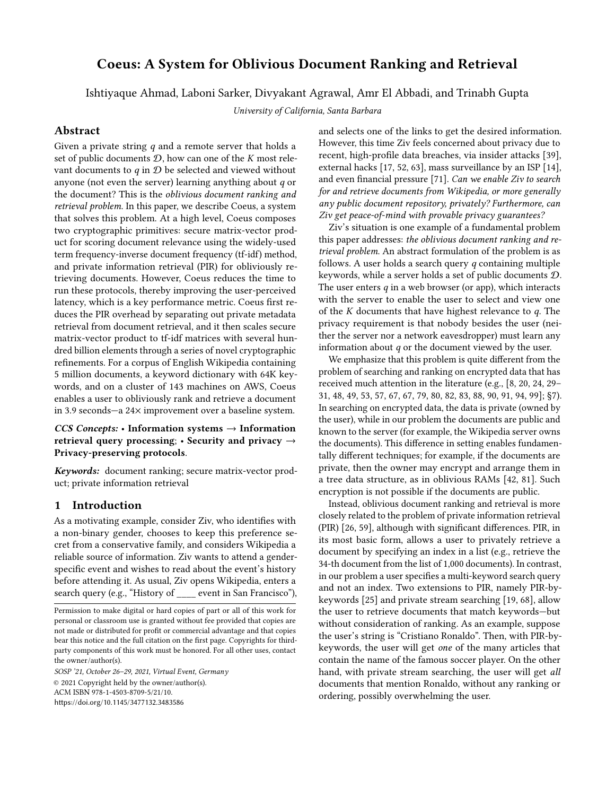# Coeus: A System for Oblivious Document Ranking and Retrieval

Ishtiyaque Ahmad, Laboni Sarker, Divyakant Agrawal, Amr El Abbadi, and Trinabh Gupta

University of California, Santa Barbara

# Abstract

Given a private string  $q$  and a remote server that holds a set of public documents  $D$ , how can one of the K most relevant documents to  $q$  in  $D$  be selected and viewed without anyone (not even the server) learning anything about  $q$  or the document? This is the oblivious document ranking and retrieval problem. In this paper, we describe Coeus, a system that solves this problem. At a high level, Coeus composes two cryptographic primitives: secure matrix-vector product for scoring document relevance using the widely-used term frequency-inverse document frequency (tf-idf) method, and private information retrieval (PIR) for obliviously retrieving documents. However, Coeus reduces the time to run these protocols, thereby improving the user-perceived latency, which is a key performance metric. Coeus first reduces the PIR overhead by separating out private metadata retrieval from document retrieval, and it then scales secure matrix-vector product to tf-idf matrices with several hundred billion elements through a series of novel cryptographic refinements. For a corpus of English Wikipedia containing 5 million documents, a keyword dictionary with 64K keywords, and on a cluster of 143 machines on AWS, Coeus enables a user to obliviously rank and retrieve a document in 3.9 seconds—a 24× improvement over a baseline system.

CCS Concepts: • Information systems  $\rightarrow$  Information retrieval query processing;  $\cdot$  Security and privacy  $\rightarrow$ Privacy-preserving protocols.

Keywords: document ranking; secure matrix-vector product; private information retrieval

# <span id="page-0-0"></span>1 Introduction

As a motivating example, consider Ziv, who identifies with a non-binary gender, chooses to keep this preference secret from a conservative family, and considers Wikipedia a reliable source of information. Ziv wants to attend a genderspecific event and wishes to read about the event's history before attending it. As usual, Ziv opens Wikipedia, enters a search query (e.g., "History of event in San Francisco"),

SOSP '21, October 26–29, 2021, Virtual Event, Germany © 2021 Copyright held by the owner/author(s). ACM ISBN 978-1-4503-8709-5/21/10. https://doi.org/10.[1145/3477132](https://doi.org/10.1145/3477132.3483586).3483586

and selects one of the links to get the desired information. However, this time Ziv feels concerned about privacy due to recent, high-profile data breaches, via insider attacks [\[39\]](#page-16-0), external hacks [\[17,](#page-16-1) [52,](#page-17-0) [63\]](#page-17-1), mass surveillance by an ISP [\[14\]](#page-16-2), and even financial pressure [\[71\]](#page-17-2). Can we enable Ziv to search for and retrieve documents from Wikipedia, or more generally any public document repository, privately? Furthermore, can Ziv get peace-of-mind with provable privacy guarantees?

Ziv's situation is one example of a fundamental problem this paper addresses: the oblivious document ranking and retrieval problem. An abstract formulation of the problem is as follows. A user holds a search query  $q$  containing multiple keywords, while a server holds a set of public documents D. The user enters  $q$  in a web browser (or app), which interacts with the server to enable the user to select and view one of the  $K$  documents that have highest relevance to  $q$ . The privacy requirement is that nobody besides the user (neither the server nor a network eavesdropper) must learn any information about  $q$  or the document viewed by the user.

We emphasize that this problem is quite different from the problem of searching and ranking on encrypted data that has received much attention in the literature (e.g., [\[8,](#page-16-3) [20,](#page-16-4) [24,](#page-16-5) [29–](#page-16-6) [31,](#page-16-7) [48,](#page-16-8) [49,](#page-16-9) [53,](#page-17-3) [57,](#page-17-4) [67,](#page-17-5) [67,](#page-17-5) [79,](#page-17-6) [80,](#page-17-7) [82,](#page-17-8) [83,](#page-17-9) [88,](#page-17-10) [90,](#page-17-11) [91,](#page-17-12) [94,](#page-18-0) [99\]](#page-18-1); [§7\)](#page-12-0). In searching on encrypted data, the data is private (owned by the user), while in our problem the documents are public and known to the server (for example, the Wikipedia server owns the documents). This difference in setting enables fundamentally different techniques; for example, if the documents are private, then the owner may encrypt and arrange them in a tree data structure, as in oblivious RAMs [\[42,](#page-16-10) [81\]](#page-17-13). Such encryption is not possible if the documents are public.

Instead, oblivious document ranking and retrieval is more closely related to the problem of private information retrieval (PIR) [\[26,](#page-16-11) [59\]](#page-17-14), although with significant differences. PIR, in its most basic form, allows a user to privately retrieve a document by specifying an index in a list (e.g., retrieve the 34-th document from the list of 1,000 documents). In contrast, in our problem a user specifies a multi-keyword search query and not an index. Two extensions to PIR, namely PIR-bykeywords [\[25\]](#page-16-12) and private stream searching [\[19,](#page-16-13) [68\]](#page-17-15), allow the user to retrieve documents that match keywords—but without consideration of ranking. As an example, suppose the user's string is "Cristiano Ronaldo". Then, with PIR-bykeywords, the user will get one of the many articles that contain the name of the famous soccer player. On the other hand, with private stream searching, the user will get all documents that mention Ronaldo, without any ranking or ordering, possibly overwhelming the user.

Permission to make digital or hard copies of part or all of this work for personal or classroom use is granted without fee provided that copies are not made or distributed for profit or commercial advantage and that copies bear this notice and the full citation on the first page. Copyrights for thirdparty components of this work must be honored. For all other uses, contact the owner/author(s).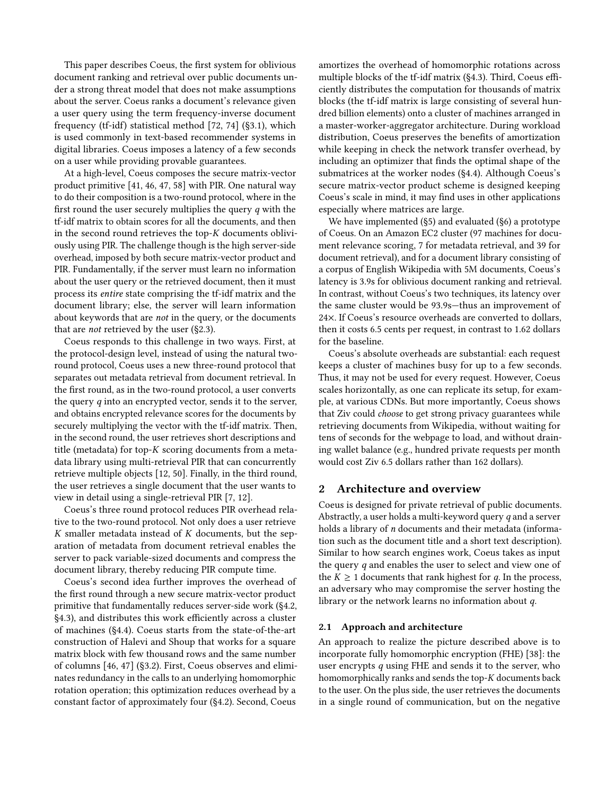This paper describes Coeus, the first system for oblivious document ranking and retrieval over public documents under a strong threat model that does not make assumptions about the server. Coeus ranks a document's relevance given a user query using the term frequency-inverse document frequency (tf-idf) statistical method [\[72,](#page-17-16) [74\]](#page-17-17) ([§3.1\)](#page-3-0), which is used commonly in text-based recommender systems in digital libraries. Coeus imposes a latency of a few seconds on a user while providing provable guarantees.

At a high-level, Coeus composes the secure matrix-vector product primitive [\[41,](#page-16-14) [46,](#page-16-15) [47,](#page-16-16) [58\]](#page-17-18) with PIR. One natural way to do their composition is a two-round protocol, where in the first round the user securely multiplies the query q with the tf-idf matrix to obtain scores for all the documents, and then in the second round retrieves the top-K documents obliviously using PIR. The challenge though is the high server-side overhead, imposed by both secure matrix-vector product and PIR. Fundamentally, if the server must learn no information about the user query or the retrieved document, then it must process its entire state comprising the tf-idf matrix and the document library; else, the server will learn information about keywords that are not in the query, or the documents that are not retrieved by the user ([§2.3\)](#page-3-1).

Coeus responds to this challenge in two ways. First, at the protocol-design level, instead of using the natural tworound protocol, Coeus uses a new three-round protocol that separates out metadata retrieval from document retrieval. In the first round, as in the two-round protocol, a user converts the query  $q$  into an encrypted vector, sends it to the server, and obtains encrypted relevance scores for the documents by securely multiplying the vector with the tf-idf matrix. Then, in the second round, the user retrieves short descriptions and title (metadata) for top- $K$  scoring documents from a metadata library using multi-retrieval PIR that can concurrently retrieve multiple objects [\[12,](#page-16-17) [50\]](#page-17-19). Finally, in the third round, the user retrieves a single document that the user wants to view in detail using a single-retrieval PIR [\[7,](#page-15-0) [12\]](#page-16-17).

Coeus's three round protocol reduces PIR overhead relative to the two-round protocol. Not only does a user retrieve  $K$  smaller metadata instead of  $K$  documents, but the separation of metadata from document retrieval enables the server to pack variable-sized documents and compress the document library, thereby reducing PIR compute time.

Coeus's second idea further improves the overhead of the first round through a new secure matrix-vector product primitive that fundamentally reduces server-side work ([§4.2,](#page-6-0) [§4.3\)](#page-7-0), and distributes this work efficiently across a cluster of machines ([§4.4\)](#page-7-1). Coeus starts from the state-of-the-art construction of Halevi and Shoup that works for a square matrix block with few thousand rows and the same number of columns [\[46,](#page-16-15) [47\]](#page-16-16) ([§3.2\)](#page-3-2). First, Coeus observes and eliminates redundancy in the calls to an underlying homomorphic rotation operation; this optimization reduces overhead by a constant factor of approximately four ([§4.2\)](#page-6-0). Second, Coeus

amortizes the overhead of homomorphic rotations across multiple blocks of the tf-idf matrix ([§4.3\)](#page-7-0). Third, Coeus efficiently distributes the computation for thousands of matrix blocks (the tf-idf matrix is large consisting of several hundred billion elements) onto a cluster of machines arranged in a master-worker-aggregator architecture. During workload distribution, Coeus preserves the benefits of amortization while keeping in check the network transfer overhead, by including an optimizer that finds the optimal shape of the submatrices at the worker nodes ([§4.4\)](#page-7-1). Although Coeus's secure matrix-vector product scheme is designed keeping Coeus's scale in mind, it may find uses in other applications especially where matrices are large.

We have implemented ([§5\)](#page-8-0) and evaluated ([§6\)](#page-8-1) a prototype of Coeus. On an Amazon EC2 cluster (97 machines for document relevance scoring, 7 for metadata retrieval, and 39 for document retrieval), and for a document library consisting of a corpus of English Wikipedia with 5M documents, Coeus's latency is 3.9s for oblivious document ranking and retrieval. In contrast, without Coeus's two techniques, its latency over the same cluster would be 93.9s—thus an improvement of 24×. If Coeus's resource overheads are converted to dollars, then it costs 6.5 cents per request, in contrast to 1.62 dollars for the baseline.

Coeus's absolute overheads are substantial: each request keeps a cluster of machines busy for up to a few seconds. Thus, it may not be used for every request. However, Coeus scales horizontally, as one can replicate its setup, for example, at various CDNs. But more importantly, Coeus shows that Ziv could choose to get strong privacy guarantees while retrieving documents from Wikipedia, without waiting for tens of seconds for the webpage to load, and without draining wallet balance (e.g., hundred private requests per month would cost Ziv 6.5 dollars rather than 162 dollars).

### <span id="page-1-1"></span>2 Architecture and overview

Coeus is designed for private retrieval of public documents. Abstractly, a user holds a multi-keyword query q and a server holds a library of *n* documents and their metadata (information such as the document title and a short text description). Similar to how search engines work, Coeus takes as input the query  $q$  and enables the user to select and view one of the  $K \geq 1$  documents that rank highest for q. In the process, an adversary who may compromise the server hosting the library or the network learns no information about q.

#### <span id="page-1-0"></span>2.1 Approach and architecture

An approach to realize the picture described above is to incorporate fully homomorphic encryption (FHE) [\[38\]](#page-16-18): the user encrypts q using FHE and sends it to the server, who homomorphically ranks and sends the top-K documents back to the user. On the plus side, the user retrieves the documents in a single round of communication, but on the negative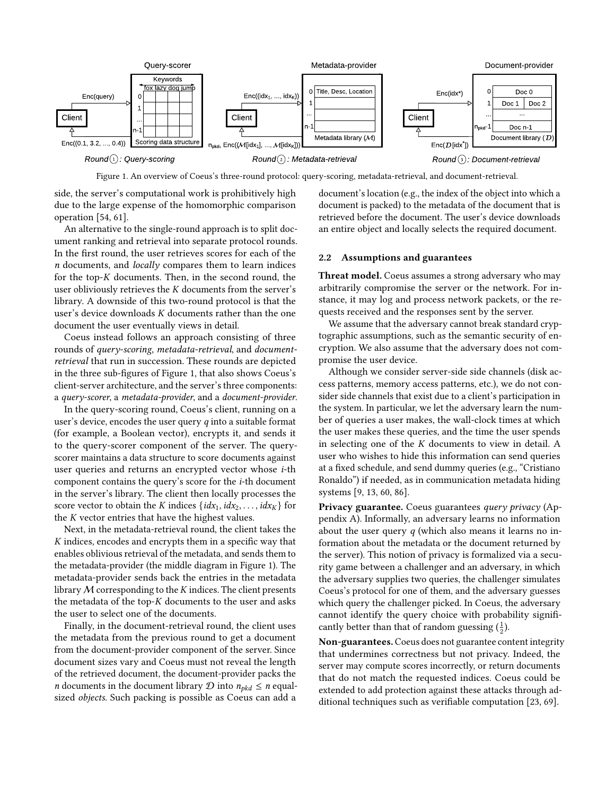<span id="page-2-0"></span>

Figure 1. An overview of Coeus's three-round protocol: query-scoring, metadata-retrieval, and document-retrieval.

side, the server's computational work is prohibitively high due to the large expense of the homomorphic comparison operation [\[54,](#page-17-20) [61\]](#page-17-21).

An alternative to the single-round approach is to split document ranking and retrieval into separate protocol rounds. In the first round, the user retrieves scores for each of the n documents, and locally compares them to learn indices for the top-K documents. Then, in the second round, the user obliviously retrieves the K documents from the server's library. A downside of this two-round protocol is that the user's device downloads K documents rather than the one document the user eventually views in detail.

Coeus instead follows an approach consisting of three rounds of query-scoring, metadata-retrieval, and documentretrieval that run in succession. These rounds are depicted in the three sub-figures of Figure [1,](#page-2-0) that also shows Coeus's client-server architecture, and the server's three components: a query-scorer, a metadata-provider, and a document-provider.

In the query-scoring round, Coeus's client, running on a user's device, encodes the user query q into a suitable format (for example, a Boolean vector), encrypts it, and sends it to the query-scorer component of the server. The queryscorer maintains a data structure to score documents against user queries and returns an encrypted vector whose i-th component contains the query's score for the i-th document in the server's library. The client then locally processes the score vector to obtain the K indices  $\{idx_1, idx_2, \ldots, idx_K\}$  for the K vector entries that have the highest values.

Next, in the metadata-retrieval round, the client takes the K indices, encodes and encrypts them in a specific way that enables oblivious retrieval of the metadata, and sends them to the metadata-provider (the middle diagram in Figure [1\)](#page-2-0). The metadata-provider sends back the entries in the metadata library  $M$  corresponding to the  $K$  indices. The client presents the metadata of the top- $K$  documents to the user and asks the user to select one of the documents.

Finally, in the document-retrieval round, the client uses the metadata from the previous round to get a document from the document-provider component of the server. Since document sizes vary and Coeus must not reveal the length of the retrieved document, the document-provider packs the *n* documents in the document library  $D$  into  $n_{\text{okd}} \leq n$  equalsized objects. Such packing is possible as Coeus can add a

document's location (e.g., the index of the object into which a document is packed) to the metadata of the document that is retrieved before the document. The user's device downloads an entire object and locally selects the required document.

### <span id="page-2-1"></span>2.2 Assumptions and guarantees

Threat model. Coeus assumes a strong adversary who may arbitrarily compromise the server or the network. For instance, it may log and process network packets, or the requests received and the responses sent by the server.

We assume that the adversary cannot break standard cryptographic assumptions, such as the semantic security of encryption. We also assume that the adversary does not compromise the user device.

Although we consider server-side side channels (disk access patterns, memory access patterns, etc.), we do not consider side channels that exist due to a client's participation in the system. In particular, we let the adversary learn the number of queries a user makes, the wall-clock times at which the user makes these queries, and the time the user spends in selecting one of the K documents to view in detail. A user who wishes to hide this information can send queries at a fixed schedule, and send dummy queries (e.g., "Cristiano Ronaldo") if needed, as in communication metadata hiding systems [\[9,](#page-16-19) [13,](#page-16-20) [60,](#page-17-22) [86\]](#page-17-23).

Privacy guarantee. Coeus guarantees query privacy (Appendix [A\)](#page-14-0). Informally, an adversary learns no information about the user query  $q$  (which also means it learns no information about the metadata or the document returned by the server). This notion of privacy is formalized via a security game between a challenger and an adversary, in which the adversary supplies two queries, the challenger simulates Coeus's protocol for one of them, and the adversary guesses which query the challenger picked. In Coeus, the adversary cannot identify the query choice with probability significantly better than that of random guessing  $(\frac{1}{2})$ .

Non-guarantees. Coeus does not guarantee content integrity that undermines correctness but not privacy. Indeed, the server may compute scores incorrectly, or return documents that do not match the requested indices. Coeus could be extended to add protection against these attacks through additional techniques such as verifiable computation [\[23,](#page-16-21) [69\]](#page-17-24).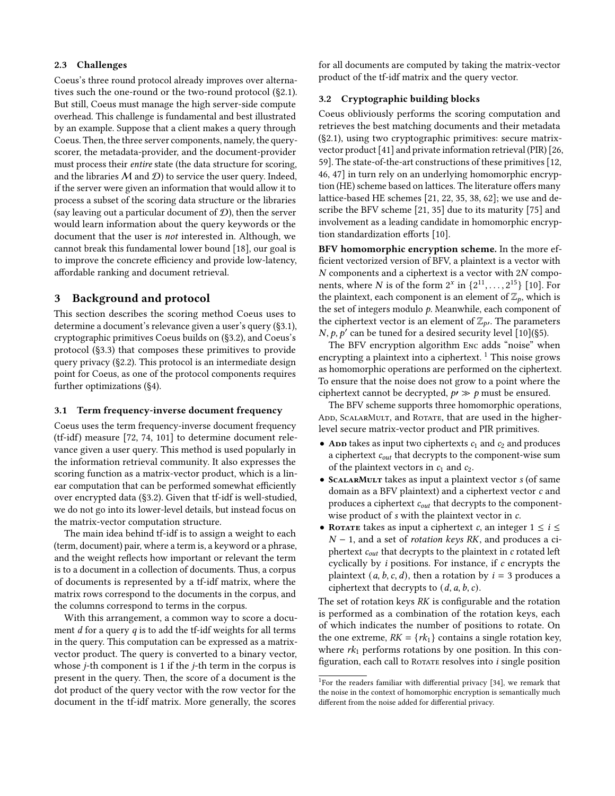#### <span id="page-3-1"></span>2.3 Challenges

Coeus's three round protocol already improves over alternatives such the one-round or the two-round protocol ([§2.1\)](#page-1-0). But still, Coeus must manage the high server-side compute overhead. This challenge is fundamental and best illustrated by an example. Suppose that a client makes a query through Coeus. Then, the three server components, namely, the queryscorer, the metadata-provider, and the document-provider must process their entire state (the data structure for scoring, and the libraries  $M$  and  $D$ ) to service the user query. Indeed, if the server were given an information that would allow it to process a subset of the scoring data structure or the libraries (say leaving out a particular document of  $\mathcal{D}$ ), then the server would learn information about the query keywords or the document that the user is not interested in. Although, we cannot break this fundamental lower bound [\[18\]](#page-16-22), our goal is to improve the concrete efficiency and provide low-latency, affordable ranking and document retrieval.

### 3 Background and protocol

This section describes the scoring method Coeus uses to determine a document's relevance given a user's query ([§3.1\)](#page-3-0), cryptographic primitives Coeus builds on ([§3.2\)](#page-3-2), and Coeus's protocol ([§3.3\)](#page-4-0) that composes these primitives to provide query privacy ([§2.2\)](#page-2-1). This protocol is an intermediate design point for Coeus, as one of the protocol components requires further optimizations ([§4\)](#page-5-0).

#### <span id="page-3-0"></span>3.1 Term frequency-inverse document frequency

Coeus uses the term frequency-inverse document frequency (tf-idf) measure [\[72,](#page-17-16) [74,](#page-17-17) [101\]](#page-18-2) to determine document relevance given a user query. This method is used popularly in the information retrieval community. It also expresses the scoring function as a matrix-vector product, which is a linear computation that can be performed somewhat efficiently over encrypted data ([§3.2\)](#page-3-2). Given that tf-idf is well-studied, we do not go into its lower-level details, but instead focus on the matrix-vector computation structure.

The main idea behind tf-idf is to assign a weight to each (term, document) pair, where a term is, a keyword or a phrase, and the weight reflects how important or relevant the term is to a document in a collection of documents. Thus, a corpus of documents is represented by a tf-idf matrix, where the matrix rows correspond to the documents in the corpus, and the columns correspond to terms in the corpus.

With this arrangement, a common way to score a document  $d$  for a query  $q$  is to add the tf-idf weights for all terms in the query. This computation can be expressed as a matrixvector product. The query is converted to a binary vector, whose j-th component is 1 if the j-th term in the corpus is present in the query. Then, the score of a document is the dot product of the query vector with the row vector for the document in the tf-idf matrix. More generally, the scores

for all documents are computed by taking the matrix-vector product of the tf-idf matrix and the query vector.

### <span id="page-3-2"></span>3.2 Cryptographic building blocks

Coeus obliviously performs the scoring computation and retrieves the best matching documents and their metadata ([§2.1\)](#page-1-0), using two cryptographic primitives: secure matrixvector product [\[41\]](#page-16-14) and private information retrieval (PIR) [\[26,](#page-16-11) [59\]](#page-17-14). The state-of-the-art constructions of these primitives [\[12,](#page-16-17) [46,](#page-16-15) [47\]](#page-16-16) in turn rely on an underlying homomorphic encryption (HE) scheme based on lattices. The literature offers many lattice-based HE schemes [\[21,](#page-16-23) [22,](#page-16-24) [35,](#page-16-25) [38,](#page-16-18) [62\]](#page-17-25); we use and describe the BFV scheme [\[21,](#page-16-23) [35\]](#page-16-25) due to its maturity [\[75\]](#page-17-26) and involvement as a leading candidate in homomorphic encryption standardization efforts [\[10\]](#page-16-26).

BFV homomorphic encryption scheme. In the more efficient vectorized version of BFV, a plaintext is a vector with N components and a ciphertext is a vector with 2N components, where N is of the form  $2^x$  in  $\{2^{11}, \ldots, 2^{15}\}$  [\[10\]](#page-16-26). For the plaintext, each component is an element of  $\mathbb{Z}_p$ , which is the set of integers modulo  $p$ . Meanwhile, each component of the ciphertext vector is an element of  $\mathbb{Z}_{p'}$ . The parameters *N*, *p*, *p'* can be tuned for a desired security level  $\lceil 10 \rceil$  ([§5\)](#page-8-0).

The BFV encryption algorithm Enc adds "noise" when encrypting a plaintext into a ciphertext.  $1$  This noise grows as homomorphic operations are performed on the ciphertext. To ensure that the noise does not grow to a point where the ciphertext cannot be decrypted,  $p \gg p$  must be ensured.

The BFV scheme supports three homomorphic operations, ADD, SCALARMULT, and ROTATE, that are used in the higherlevel secure matrix-vector product and PIR primitives.

- And takes as input two ciphertexts  $c_1$  and  $c_2$  and produces a ciphertext  $c_{out}$  that decrypts to the component-wise sum of the plaintext vectors in  $c_1$  and  $c_2$ .
- SCALARMULT takes as input a plaintext vector s (of same domain as a BFV plaintext) and a ciphertext vector c and produces a ciphertext  $c_{out}$  that decrypts to the componentwise product of s with the plaintext vector in c.
- ROTATE takes as input a ciphertext c, an integer  $1 \le i \le$  $N-1$ , and a set of *rotation keys RK*, and produces a ciphertext  $c_{out}$  that decrypts to the plaintext in  $c$  rotated left cyclically by  $i$  positions. For instance, if  $c$  encrypts the plaintext  $(a, b, c, d)$ , then a rotation by  $i = 3$  produces a ciphertext that decrypts to  $(d, a, b, c)$ .

The set of rotation keys RK is configurable and the rotation is performed as a combination of the rotation keys, each of which indicates the number of positions to rotate. On the one extreme,  $RK = \{rk_1\}$  contains a single rotation key, where  $rk_1$  performs rotations by one position. In this configuration, each call to ROTATE resolves into  $i$  single position

<span id="page-3-3"></span><sup>&</sup>lt;sup>1</sup>For the readers familiar with differential privacy [\[34\]](#page-16-27), we remark that the noise in the context of homomorphic encryption is semantically much different from the noise added for differential privacy.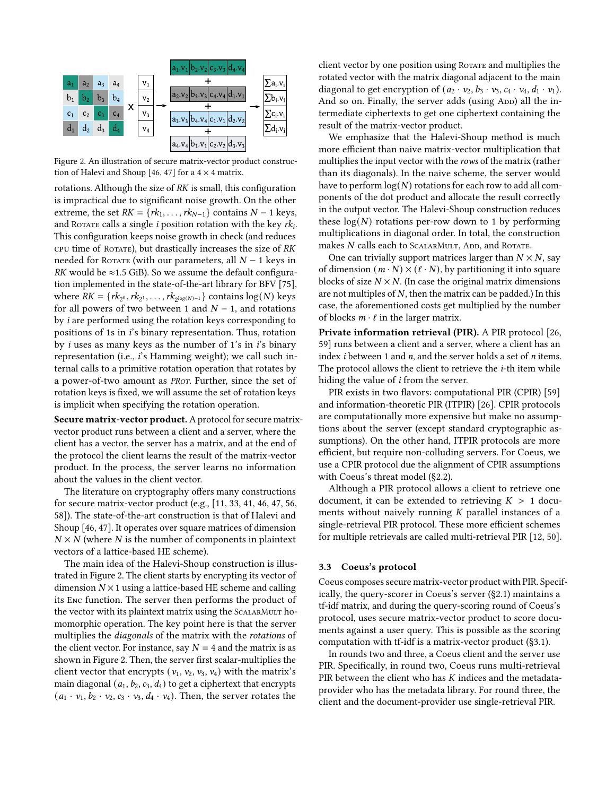<span id="page-4-1"></span>

Figure 2. An illustration of secure matrix-vector product construc-tion of Halevi and Shoup [\[46,](#page-16-15) [47\]](#page-16-16) for a  $4 \times 4$  matrix.

rotations. Although the size of RK is small, this configuration is impractical due to significant noise growth. On the other extreme, the set  $RK = \{rk_1, \ldots, rk_{N-1}\}\)$  contains  $N - 1$  keys, and ROTATE calls a single *i* position rotation with the key  $rk_i$ . This configuration keeps noise growth in check (and reduces CPU time of ROTATE), but drastically increases the size of RK needed for ROTATE (with our parameters, all  $N - 1$  keys in RK would be  $\approx$ 1.5 GiB). So we assume the default configuration implemented in the state-of-the-art library for BFV [\[75\]](#page-17-26), where  $\overline{RK} = \{rk_{2^0}, rk_{2^1}, \ldots, rk_{2^{\log(N)-1}}\}$  contains  $\log(N)$  keys for all powers of two between 1 and  $N - 1$ , and rotations by i are performed using the rotation keys corresponding to positions of 1s in i's binary representation. Thus, rotation by *i* uses as many keys as the number of 1's in  $i$ 's binary representation (i.e., i's Hamming weight); we call such internal calls to a primitive rotation operation that rotates by a power-of-two amount as PRor. Further, since the set of rotation keys is fixed, we will assume the set of rotation keys is implicit when specifying the rotation operation.

Secure matrix-vector product. A protocol for secure matrixvector product runs between a client and a server, where the client has a vector, the server has a matrix, and at the end of the protocol the client learns the result of the matrix-vector product. In the process, the server learns no information about the values in the client vector.

The literature on cryptography offers many constructions for secure matrix-vector product (e.g., [\[11,](#page-16-28) [33,](#page-16-29) [41,](#page-16-14) [46,](#page-16-15) [47,](#page-16-16) [56,](#page-17-27) [58\]](#page-17-18)). The state-of-the-art construction is that of Halevi and Shoup [\[46,](#page-16-15) [47\]](#page-16-16). It operates over square matrices of dimension  $N \times N$  (where N is the number of components in plaintext vectors of a lattice-based HE scheme).

The main idea of the Halevi-Shoup construction is illustrated in Figure [2.](#page-4-1) The client starts by encrypting its vector of dimension  $N \times 1$  using a lattice-based HE scheme and calling its Enc function. The server then performs the product of the vector with its plaintext matrix using the SCALARMULT homomorphic operation. The key point here is that the server multiplies the diagonals of the matrix with the rotations of the client vector. For instance, say  $N = 4$  and the matrix is as shown in Figure [2.](#page-4-1) Then, the server first scalar-multiplies the client vector that encrypts ( $v_1$ ,  $v_2$ ,  $v_3$ ,  $v_4$ ) with the matrix's main diagonal  $(a_1, b_2, c_3, d_4)$  to get a ciphertext that encrypts  $(a_1 \cdot v_1, b_2 \cdot v_2, c_3 \cdot v_3, d_4 \cdot v_4)$ . Then, the server rotates the

client vector by one position using ROTATE and multiplies the rotated vector with the matrix diagonal adjacent to the main diagonal to get encryption of  $(a_2 \cdot v_2, b_3 \cdot v_3, c_4 \cdot v_4, d_1 \cdot v_1)$ . And so on. Finally, the server adds (using App) all the intermediate ciphertexts to get one ciphertext containing the result of the matrix-vector product.

We emphasize that the Halevi-Shoup method is much more efficient than naive matrix-vector multiplication that multiplies the input vector with the rows of the matrix (rather than its diagonals). In the naive scheme, the server would have to perform  $log(N)$  rotations for each row to add all components of the dot product and allocate the result correctly in the output vector. The Halevi-Shoup construction reduces these  $log(N)$  rotations per-row down to 1 by performing multiplications in diagonal order. In total, the construction makes  $N$  calls each to SCALARMULT, ADD, and ROTATE.

One can trivially support matrices larger than  $N \times N$ , say of dimension  $(m \cdot N) \times (l \cdot N)$ , by partitioning it into square blocks of size  $N \times N$ . (In case the original matrix dimensions are not multiples of  $N$ , then the matrix can be padded.) In this case, the aforementioned costs get multiplied by the number of blocks  $m \cdot \ell$  in the larger matrix.

Private information retrieval (PIR). A PIR protocol [\[26,](#page-16-11) [59\]](#page-17-14) runs between a client and a server, where a client has an index *i* between 1 and  $n$ , and the server holds a set of  $n$  items. The protocol allows the client to retrieve the i-th item while hiding the value of i from the server.

PIR exists in two flavors: computational PIR (CPIR) [\[59\]](#page-17-14) and information-theoretic PIR (ITPIR) [\[26\]](#page-16-11). CPIR protocols are computationally more expensive but make no assumptions about the server (except standard cryptographic assumptions). On the other hand, ITPIR protocols are more efficient, but require non-colluding servers. For Coeus, we use a CPIR protocol due the alignment of CPIR assumptions with Coeus's threat model ([§2.2\)](#page-2-1).

Although a PIR protocol allows a client to retrieve one document, it can be extended to retrieving  $K > 1$  documents without naively running  $K$  parallel instances of a single-retrieval PIR protocol. These more efficient schemes for multiple retrievals are called multi-retrieval PIR [\[12,](#page-16-17) [50\]](#page-17-19).

#### <span id="page-4-0"></span>3.3 Coeus's protocol

Coeus composes secure matrix-vector product with PIR. Specifically, the query-scorer in Coeus's server ([§2.1\)](#page-1-0) maintains a tf-idf matrix, and during the query-scoring round of Coeus's protocol, uses secure matrix-vector product to score documents against a user query. This is possible as the scoring computation with tf-idf is a matrix-vector product ([§3.1\)](#page-3-0).

In rounds two and three, a Coeus client and the server use PIR. Specifically, in round two, Coeus runs multi-retrieval PIR between the client who has K indices and the metadataprovider who has the metadata library. For round three, the client and the document-provider use single-retrieval PIR.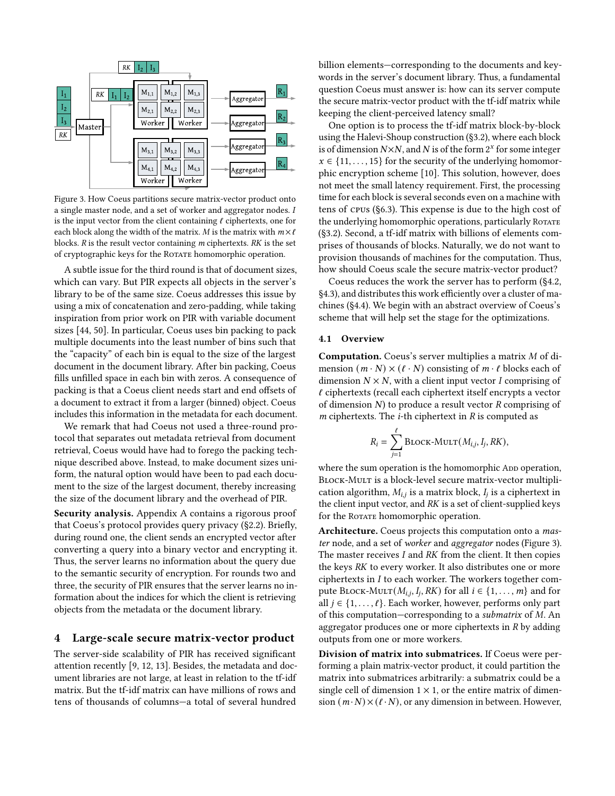<span id="page-5-1"></span>

Figure 3. How Coeus partitions secure matrix-vector product onto a single master node, and a set of worker and aggregator nodes. I is the input vector from the client containing  $\ell$  ciphertexts, one for each block along the width of the matrix. M is the matrix with  $m \times \ell$ blocks.  $R$  is the result vector containing  $m$  ciphertexts.  $RK$  is the set of cryptographic keys for the ROTATE homomorphic operation.

A subtle issue for the third round is that of document sizes, which can vary. But PIR expects all objects in the server's library to be of the same size. Coeus addresses this issue by using a mix of concatenation and zero-padding, while taking inspiration from prior work on PIR with variable document sizes [\[44,](#page-16-30) [50\]](#page-17-19). In particular, Coeus uses bin packing to pack multiple documents into the least number of bins such that the "capacity" of each bin is equal to the size of the largest document in the document library. After bin packing, Coeus fills unfilled space in each bin with zeros. A consequence of packing is that a Coeus client needs start and end offsets of a document to extract it from a larger (binned) object. Coeus includes this information in the metadata for each document.

We remark that had Coeus not used a three-round protocol that separates out metadata retrieval from document retrieval, Coeus would have had to forego the packing technique described above. Instead, to make document sizes uniform, the natural option would have been to pad each document to the size of the largest document, thereby increasing the size of the document library and the overhead of PIR.

Security analysis. Appendix [A](#page-14-0) contains a rigorous proof that Coeus's protocol provides query privacy ([§2.2\)](#page-2-1). Briefly, during round one, the client sends an encrypted vector after converting a query into a binary vector and encrypting it. Thus, the server learns no information about the query due to the semantic security of encryption. For rounds two and three, the security of PIR ensures that the server learns no information about the indices for which the client is retrieving objects from the metadata or the document library.

#### <span id="page-5-0"></span>4 Large-scale secure matrix-vector product

The server-side scalability of PIR has received significant attention recently [\[9,](#page-16-19) [12,](#page-16-17) [13\]](#page-16-20). Besides, the metadata and document libraries are not large, at least in relation to the tf-idf matrix. But the tf-idf matrix can have millions of rows and tens of thousands of columns—a total of several hundred

billion elements—corresponding to the documents and keywords in the server's document library. Thus, a fundamental question Coeus must answer is: how can its server compute the secure matrix-vector product with the tf-idf matrix while keeping the client-perceived latency small?

One option is to process the tf-idf matrix block-by-block using the Halevi-Shoup construction ([§3.2\)](#page-3-2), where each block is of dimension  $N \times N$ , and N is of the form  $2^x$  for some integer  $x \in \{11, \ldots, 15\}$  for the security of the underlying homomorphic encryption scheme [\[10\]](#page-16-26). This solution, however, does not meet the small latency requirement. First, the processing time for each block is several seconds even on a machine with tens of cpus ([§6.3\)](#page-11-0). This expense is due to the high cost of the underlying homomorphic operations, particularly ROTATE ([§3.2\)](#page-3-2). Second, a tf-idf matrix with billions of elements comprises of thousands of blocks. Naturally, we do not want to provision thousands of machines for the computation. Thus, how should Coeus scale the secure matrix-vector product?

Coeus reduces the work the server has to perform ([§4.2,](#page-6-0) [§4.3\)](#page-7-0), and distributes this work efficiently over a cluster of machines ([§4.4\)](#page-7-1). We begin with an abstract overview of Coeus's scheme that will help set the stage for the optimizations.

#### <span id="page-5-2"></span>4.1 Overview

Computation. Coeus's server multiplies a matrix M of dimension  $(m \cdot N) \times (\ell \cdot N)$  consisting of  $m \cdot \ell$  blocks each of dimension  $N \times N$ , with a client input vector I comprising of  $\ell$  ciphertexts (recall each ciphertext itself encrypts a vector of dimension  $N$ ) to produce a result vector  $R$  comprising of  $m$  ciphertexts. The  $i$ -th ciphertext in  $R$  is computed as

$$
R_i = \sum_{j=1}^{\ell} \text{Block-MULT}(M_{i,j}, I_j, RK),
$$

where the sum operation is the homomorphic App operation, BLOCK-MULT is a block-level secure matrix-vector multiplication algorithm,  $M_{i,j}$  is a matrix block,  $I_i$  is a ciphertext in the client input vector, and  $RK$  is a set of client-supplied keys for the ROTATE homomorphic operation.

Architecture. Coeus projects this computation onto a master node, and a set of worker and aggregator nodes (Figure [3\)](#page-5-1). The master receives I and RK from the client. It then copies the keys RK to every worker. It also distributes one or more ciphertexts in I to each worker. The workers together compute BLOCK-MULT $(M_{i,j}, I_j, RK)$  for all  $i \in \{1, \ldots, m\}$  and for all  $j \in \{1, \ldots, \ell\}$ . Each worker, however, performs only part of this computation—corresponding to a submatrix of M. An aggregator produces one or more ciphertexts in R by adding outputs from one or more workers.

Division of matrix into submatrices. If Coeus were performing a plain matrix-vector product, it could partition the matrix into submatrices arbitrarily: a submatrix could be a single cell of dimension  $1 \times 1$ , or the entire matrix of dimension  $(m \cdot N) \times (l \cdot N)$ , or any dimension in between. However,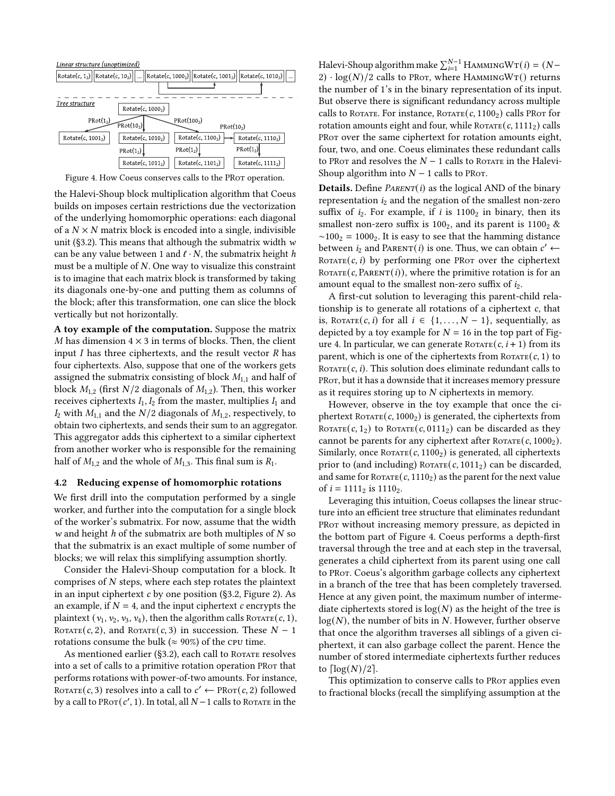<span id="page-6-1"></span>

Figure 4. How Coeus conserves calls to the PRot operation.

the Halevi-Shoup block multiplication algorithm that Coeus builds on imposes certain restrictions due the vectorization of the underlying homomorphic operations: each diagonal of a  $N \times N$  matrix block is encoded into a single, indivisible unit ([§3.2\)](#page-3-2). This means that although the submatrix width  $w$ can be any value between 1 and  $\ell \cdot N$ , the submatrix height h must be a multiple of N. One way to visualize this constraint is to imagine that each matrix block is transformed by taking its diagonals one-by-one and putting them as columns of the block; after this transformation, one can slice the block vertically but not horizontally.

A toy example of the computation. Suppose the matrix  $M$  has dimension  $4 \times 3$  in terms of blocks. Then, the client input  $I$  has three ciphertexts, and the result vector  $R$  has four ciphertexts. Also, suppose that one of the workers gets assigned the submatrix consisting of block  $M_{1,1}$  and half of block  $M_{1,2}$  (first  $N/2$  diagonals of  $M_{1,2}$ ). Then, this worker receives ciphertexts  $I_1$ ,  $I_2$  from the master, multiplies  $I_1$  and  $I_2$  with  $M_{1,1}$  and the  $N/2$  diagonals of  $M_{1,2}$ , respectively, to obtain two ciphertexts, and sends their sum to an aggregator. This aggregator adds this ciphertext to a similar ciphertext from another worker who is responsible for the remaining half of  $M_{1,2}$  and the whole of  $M_{1,3}$ . This final sum is  $R_1$ .

#### <span id="page-6-0"></span>4.2 Reducing expense of homomorphic rotations

We first drill into the computation performed by a single worker, and further into the computation for a single block of the worker's submatrix. For now, assume that the width w and height  $h$  of the submatrix are both multiples of  $N$  so that the submatrix is an exact multiple of some number of blocks; we will relax this simplifying assumption shortly.

Consider the Halevi-Shoup computation for a block. It comprises of N steps, where each step rotates the plaintext in an input ciphertext c by one position ([§3.2,](#page-3-2) Figure [2\)](#page-4-1). As an example, if  $N = 4$ , and the input ciphertext c encrypts the plaintext  $(v_1, v_2, v_3, v_4)$ , then the algorithm calls ROTATE(c, 1), ROTATE(c, 2), and ROTATE(c, 3) in succession. These  $N - 1$ rotations consume the bulk ( $\approx 90\%$ ) of the CPU time.

As mentioned earlier ([§3.2\)](#page-3-2), each call to ROTATE resolves into a set of calls to a primitive rotation operation PRor that performs rotations with power-of-two amounts. For instance, ROTATE(c, 3) resolves into a call to  $c' \leftarrow \text{PROT}(c, 2)$  followed by a call to  $PROT(c', 1)$ . In total, all  $N-1$  calls to ROTATE in the

Halevi-Shoup algorithm make  $\sum_{i=1}^{N-1}$  HAMMING $W\texttt{T}(i) = (N-1)$ 2)  $\cdot$  log(N)/2 calls to PRot, where HAMMINGWT() returns the number of 1's in the binary representation of its input. But observe there is significant redundancy across multiple calls to ROTATE. For instance,  $R$ OTATE $(c, 1100<sub>2</sub>)$  calls PROT for rotation amounts eight and four, while  $R_{\text{OTATE}}(c, 1111_2)$  calls PRot over the same ciphertext for rotation amounts eight, four, two, and one. Coeus eliminates these redundant calls to PRot and resolves the  $N - 1$  calls to Rotate in the Halevi-Shoup algorithm into  $N - 1$  calls to PRot.

**Details.** Define  $P_{ARENT}(i)$  as the logical AND of the binary representation  $i_2$  and the negation of the smallest non-zero suffix of  $i_2$ . For example, if i is 1100<sub>2</sub> in binary, then its smallest non-zero suffix is 100<sub>2</sub>, and its parent is 1100<sub>2</sub>  $\&$  $~\sim$ 100<sub>2</sub> = 1000<sub>2</sub>. It is easy to see that the hamming distance between  $i_2$  and PARENT(*i*) is one. Thus, we can obtain  $c' \leftarrow$ ROTATE $(c, i)$  by performing one PROT over the ciphertext ROTATE( $c$ , PARENT( $i$ )), where the primitive rotation is for an amount equal to the smallest non-zero suffix of  $i_2$ .

A first-cut solution to leveraging this parent-child relationship is to generate all rotations of a ciphertext c, that is, ROTATE(c, i) for all  $i \in \{1, ..., N-1\}$ , sequentially, as depicted by a toy example for  $N = 16$  in the top part of Fig-ure [4.](#page-6-1) In particular, we can generate ROTATE $(c, i + 1)$  from its parent, which is one of the ciphertexts from  $R$ <sub>OTATE</sub> $(c, 1)$  to ROTATE $(c, i)$ . This solution does eliminate redundant calls to PROT, but it has a downside that it increases memory pressure as it requires storing up to N ciphertexts in memory.

However, observe in the toy example that once the ciphertext ROTATE( $c$ , 1000<sub>2</sub>) is generated, the ciphertexts from ROTATE $(c, 1<sub>2</sub>)$  to ROTATE $(c, 0111<sub>2</sub>)$  can be discarded as they cannot be parents for any ciphertext after  $R_{\text{OTATE}}(c, 1000_2)$ . Similarly, once  $R$ OTATE $(c, 1100<sub>2</sub>)$  is generated, all ciphertexts prior to (and including)  $R\text{OTATE}(c, 1011_2)$  can be discarded, and same for  $R_{\text{OTATE}}(c, 1110_2)$  as the parent for the next value of  $i = 1111_2$  is 1110<sub>2</sub>.

Leveraging this intuition, Coeus collapses the linear structure into an efficient tree structure that eliminates redundant PRot without increasing memory pressure, as depicted in the bottom part of Figure [4.](#page-6-1) Coeus performs a depth-first traversal through the tree and at each step in the traversal, generates a child ciphertext from its parent using one call to PRot. Coeus's algorithm garbage collects any ciphertext in a branch of the tree that has been completely traversed. Hence at any given point, the maximum number of intermediate ciphertexts stored is  $log(N)$  as the height of the tree is  $log(N)$ , the number of bits in N. However, further observe that once the algorithm traverses all siblings of a given ciphertext, it can also garbage collect the parent. Hence the number of stored intermediate ciphertexts further reduces to  $\lceil \log(N)/2 \rceil$ .

This optimization to conserve calls to PRor applies even to fractional blocks (recall the simplifying assumption at the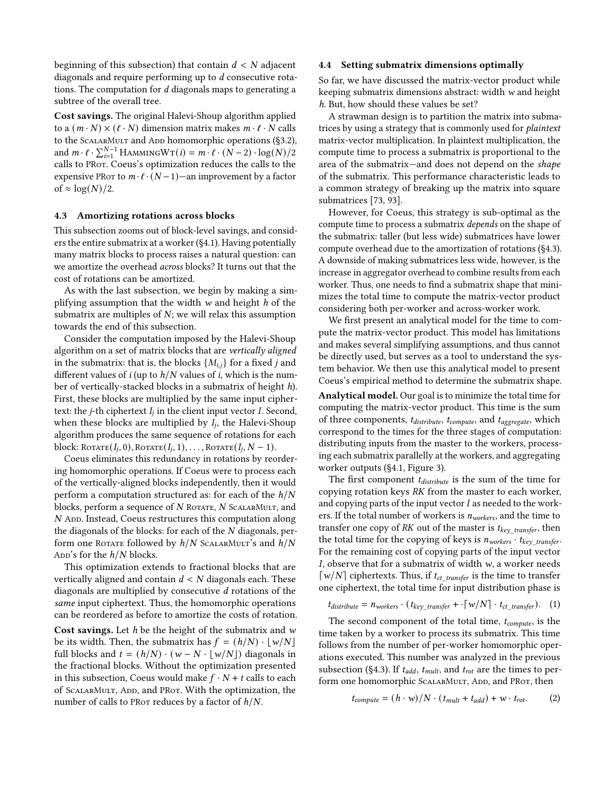beginning of this subsection) that contain  $d < N$  adjacent diagonals and require performing up to d consecutive rotations. The computation for d diagonals maps to generating a subtree of the overall tree.

Cost savings. The original Halevi-Shoup algorithm applied to a  $(m \cdot N) \times (\ell \cdot N)$  dimension matrix makes  $m \cdot \ell \cdot N$  calls to the SCALARMULT and ADD homomorphic operations ([§3.2\)](#page-3-2), and  $m \cdot \ell \cdot \sum_{i=1}^{N-1} \text{HAMMINGWT}(i) = m \cdot \ell \cdot (N-2) \cdot \log(N)/2$ calls to PRor. Coeus's optimization reduces the calls to the expensive PRot to  $m \cdot \ell \cdot (N-1)$ —an improvement by a factor of  $\approx \log(N)/2$ .

#### <span id="page-7-0"></span>4.3 Amortizing rotations across blocks

This subsection zooms out of block-level savings, and considers the entire submatrix at a worker ([§4.1\)](#page-5-2). Having potentially many matrix blocks to process raises a natural question: can we amortize the overhead across blocks? It turns out that the cost of rotations can be amortized.

As with the last subsection, we begin by making a simplifying assumption that the width  $w$  and height  $h$  of the submatrix are multiples of  $N$ ; we will relax this assumption towards the end of this subsection.

Consider the computation imposed by the Halevi-Shoup algorithm on a set of matrix blocks that are vertically aligned in the submatrix: that is, the blocks  $\{M_{i,j}\}$  for a fixed j and different values of  $i$  (up to  $h/N$  values of  $i$ , which is the number of vertically-stacked blocks in a submatrix of height h). First, these blocks are multiplied by the same input ciphertext: the *j*-th ciphertext  $I_i$  in the client input vector *I*. Second, when these blocks are multiplied by  $I_i$ , the Halevi-Shoup algorithm produces the same sequence of rotations for each block: ROTATE $(I_i, 0)$ , ROTATE $(I_i, 1)$ , ..., ROTATE $(I_i, N-1)$ .

Coeus eliminates this redundancy in rotations by reordering homomorphic operations. If Coeus were to process each of the vertically-aligned blocks independently, then it would perform a computation structured as: for each of the  $h/N$ blocks, perform a sequence of  $N$  ROTATE,  $N$  SCALARMULT, and  $N$  ADD. Instead, Coeus restructures this computation along the diagonals of the blocks: for each of the N diagonals, perform one ROTATE followed by  $h/N$  SCALARMULT's and  $h/N$ App's for the  $h/N$  blocks.

This optimization extends to fractional blocks that are vertically aligned and contain  $d < N$  diagonals each. These diagonals are multiplied by consecutive d rotations of the same input ciphertext. Thus, the homomorphic operations can be reordered as before to amortize the costs of rotation.

Cost savings. Let  $h$  be the height of the submatrix and  $w$ be its width. Then, the submatrix has  $f = (h/N) \cdot \lfloor w/N \rfloor$ full blocks and  $t = (h/N) \cdot (w - N \cdot \lfloor w/N \rfloor)$  diagonals in the fractional blocks. Without the optimization presented in this subsection, Coeus would make  $f \cdot N + t$  calls to each of SCALARMULT, ADD, and PROT. With the optimization, the number of calls to PRor reduces by a factor of  $h/N$ .

#### <span id="page-7-1"></span>4.4 Setting submatrix dimensions optimally

So far, we have discussed the matrix-vector product while keeping submatrix dimensions abstract: width w and height h. But, how should these values be set?

A strawman design is to partition the matrix into submatrices by using a strategy that is commonly used for plaintext matrix-vector multiplication. In plaintext multiplication, the compute time to process a submatrix is proportional to the area of the submatrix—and does not depend on the shape of the submatrix. This performance characteristic leads to a common strategy of breaking up the matrix into square submatrices [\[73,](#page-17-28) [93\]](#page-18-3).

However, for Coeus, this strategy is sub-optimal as the compute time to process a submatrix depends on the shape of the submatrix: taller (but less wide) submatrices have lower compute overhead due to the amortization of rotations ([§4.3\)](#page-7-0). A downside of making submatrices less wide, however, is the increase in aggregator overhead to combine results from each worker. Thus, one needs to find a submatrix shape that minimizes the total time to compute the matrix-vector product considering both per-worker and across-worker work.

We first present an analytical model for the time to compute the matrix-vector product. This model has limitations and makes several simplifying assumptions, and thus cannot be directly used, but serves as a tool to understand the system behavior. We then use this analytical model to present Coeus's empirical method to determine the submatrix shape.

Analytical model. Our goal is to minimize the total time for computing the matrix-vector product. This time is the sum of three components,  $t_{\text{distribute}}$ ,  $t_{\text{compute}}$ , and  $t_{\text{aggregate}}$ , which correspond to the times for the three stages of computation: distributing inputs from the master to the workers, processing each submatrix parallelly at the workers, and aggregating worker outputs ([§4.1,](#page-5-2) Figure [3\)](#page-5-1).

The first component  $t_{distribute}$  is the sum of the time for copying rotation keys RK from the master to each worker, and copying parts of the input vector  $I$  as needed to the workers. If the total number of workers is  $n_{works}$ , and the time to transfer one copy of RK out of the master is  $t_{key\_transfer}$ , then the total time for the copying of keys is  $n_{works} \cdot t_{key\_transfer}$ . For the remaining cost of copying parts of the input vector I, observe that for a submatrix of width  $w$ , a worker needs  $\lceil w/N \rceil$  ciphertexts. Thus, if  $t_{ct}$  transfer is the time to transfer one ciphertext, the total time for input distribution phase is

$$
t_{distribute} = n_{works} \cdot (t_{key\_transfer} + \cdot \lceil w/N \rceil \cdot t_{ct\_transfer}). \quad (1)
$$

The second component of the total time,  $t_{compute}$ , is the time taken by a worker to process its submatrix. This time follows from the number of per-worker homomorphic operations executed. This number was analyzed in the previous subsection ([§4.3\)](#page-7-0). If  $t_{add}$ ,  $t_{mult}$ , and  $t_{rot}$  are the times to perform one homomorphic SCALARMULT, ADD, and PROT, then

<span id="page-7-2"></span>
$$
t_{compute} = (h \cdot w) / N \cdot (t_{mult} + t_{add}) + w \cdot t_{rot}. \tag{2}
$$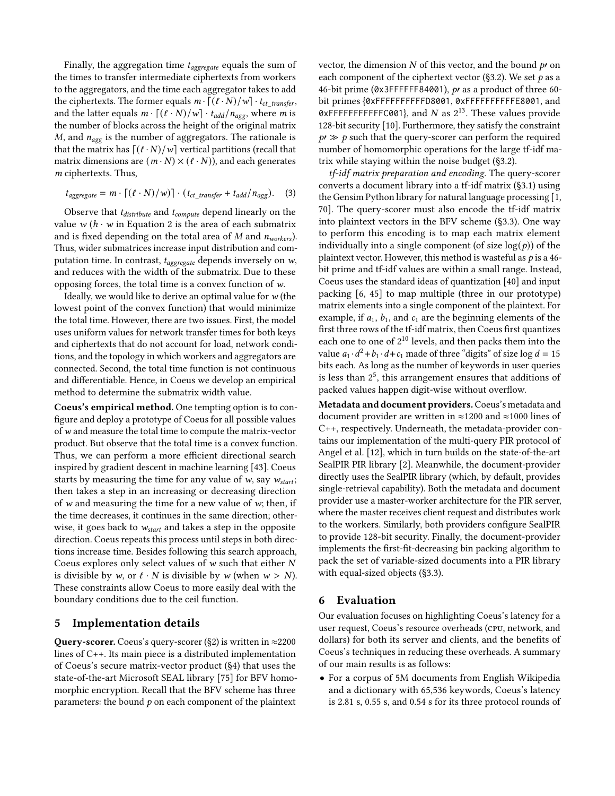Finally, the aggregation time  $t_{aggregate}$  equals the sum of the times to transfer intermediate ciphertexts from workers to the aggregators, and the time each aggregator takes to add the ciphertexts. The former equals  $m \cdot \left[ \frac{(\ell \cdot N)}{w} \right] \cdot t_{ct\_transfer}$ , and the latter equals  $m \cdot \left[ (\ell \cdot N)/w \right] \cdot t_{add}/n_{agg}$ , where *m* is the number of blocks across the height of the original matrix  $M$ , and  $n_{agg}$  is the number of aggregators. The rationale is that the matrix has  $[(\ell \cdot N)/w]$  vertical partitions (recall that matrix dimensions are  $(m \cdot N) \times (l \cdot N)$ , and each generates m ciphertexts. Thus,

$$
t_{aggregate} = m \cdot \left[ (\ell \cdot N) / w \right] \cdot (t_{ct\_transfer} + t_{add} / n_{agg}). \tag{3}
$$

Observe that  $t_{distribute}$  and  $t_{compute}$  depend linearly on the value  $w(h \cdot w)$  in Equation [2](#page-7-2) is the area of each submatrix and is fixed depending on the total area of  $M$  and  $n_{works}$ ). Thus, wider submatrices increase input distribution and computation time. In contrast,  $t_{aggregate}$  depends inversely on w, and reduces with the width of the submatrix. Due to these opposing forces, the total time is a convex function of w.

Ideally, we would like to derive an optimal value for  $w$  (the lowest point of the convex function) that would minimize the total time. However, there are two issues. First, the model uses uniform values for network transfer times for both keys and ciphertexts that do not account for load, network conditions, and the topology in which workers and aggregators are connected. Second, the total time function is not continuous and differentiable. Hence, in Coeus we develop an empirical method to determine the submatrix width value.

Coeus's empirical method. One tempting option is to configure and deploy a prototype of Coeus for all possible values of w and measure the total time to compute the matrix-vector product. But observe that the total time is a convex function. Thus, we can perform a more efficient directional search inspired by gradient descent in machine learning [\[43\]](#page-16-31). Coeus starts by measuring the time for any value of  $w$ , say  $w_{start}$ ; then takes a step in an increasing or decreasing direction of  $w$  and measuring the time for a new value of  $w$ ; then, if the time decreases, it continues in the same direction; otherwise, it goes back to  $w_{start}$  and takes a step in the opposite direction. Coeus repeats this process until steps in both directions increase time. Besides following this search approach, Coeus explores only select values of  $w$  such that either  $N$ is divisible by w, or  $\ell \cdot N$  is divisible by w (when  $w > N$ ). These constraints allow Coeus to more easily deal with the boundary conditions due to the ceil function.

# <span id="page-8-0"></span>5 Implementation details

**Query-scorer.** Coeus's query-scorer ([§2\)](#page-1-1) is written in  $\approx$ 2200 lines of C++. Its main piece is a distributed implementation of Coeus's secure matrix-vector product ([§4\)](#page-5-0) that uses the state-of-the-art Microsoft SEAL library [\[75\]](#page-17-26) for BFV homomorphic encryption. Recall that the BFV scheme has three parameters: the bound  $p$  on each component of the plaintext

vector, the dimension  $N$  of this vector, and the bound  $p'$  on each component of the ciphertext vector ([§3.2\)](#page-3-2). We set  $p$  as a 46-bit prime (0x3FFFFFF84001), p′ as a product of three 60 bit primes {0xFFFFFFFFFFD8001, 0xFFFFFFFFFFE8001, and  $\overrightarrow{O}$  AFFFFFFFFFFFFC001}, and N as  $2^{13}$ . These values provide 128-bit security [\[10\]](#page-16-26). Furthermore, they satisfy the constraint  $p \gg p$  such that the query-scorer can perform the required number of homomorphic operations for the large tf-idf matrix while staying within the noise budget ([§3.2\)](#page-3-2).

tf-idf matrix preparation and encoding. The query-scorer converts a document library into a tf-idf matrix ([§3.1\)](#page-3-0) using the Gensim Python library for natural language processing [\[1,](#page-15-1) [70\]](#page-17-29). The query-scorer must also encode the tf-idf matrix into plaintext vectors in the BFV scheme ([§3.3\)](#page-4-0). One way to perform this encoding is to map each matrix element individually into a single component (of size  $log(p)$ ) of the plaintext vector. However, this method is wasteful as  $p$  is a 46bit prime and tf-idf values are within a small range. Instead, Coeus uses the standard ideas of quantization [\[40\]](#page-16-32) and input packing [\[6,](#page-15-2) [45\]](#page-16-33) to map multiple (three in our prototype) matrix elements into a single component of the plaintext. For example, if  $a_1$ ,  $b_1$ , and  $c_1$  are the beginning elements of the first three rows of the tf-idf matrix, then Coeus first quantizes each one to one of 2<sup>10</sup> levels, and then packs them into the value  $a_1 \cdot d^2 + b_1 \cdot d + c_1$  made of three "digits" of size log  $d = 15$ bits each. As long as the number of keywords in user queries is less than  $2^5$ , this arrangement ensures that additions of packed values happen digit-wise without overflow.

Metadata and document providers. Coeus's metadata and document provider are written in ≈1200 and ≈1000 lines of C++, respectively. Underneath, the metadata-provider contains our implementation of the multi-query PIR protocol of Angel et al. [\[12\]](#page-16-17), which in turn builds on the state-of-the-art SealPIR PIR library [\[2\]](#page-15-3). Meanwhile, the document-provider directly uses the SealPIR library (which, by default, provides single-retrieval capability). Both the metadata and document provider use a master-worker architecture for the PIR server, where the master receives client request and distributes work to the workers. Similarly, both providers configure SealPIR to provide 128-bit security. Finally, the document-provider implements the first-fit-decreasing bin packing algorithm to pack the set of variable-sized documents into a PIR library with equal-sized objects ([§3.3\)](#page-4-0).

### <span id="page-8-1"></span>6 Evaluation

Our evaluation focuses on highlighting Coeus's latency for a user request, Coeus's resource overheads (cpu, network, and dollars) for both its server and clients, and the benefits of Coeus's techniques in reducing these overheads. A summary of our main results is as follows:

• For a corpus of 5M documents from English Wikipedia and a dictionary with 65,536 keywords, Coeus's latency is 2.81 s, 0.55 s, and 0.54 s for its three protocol rounds of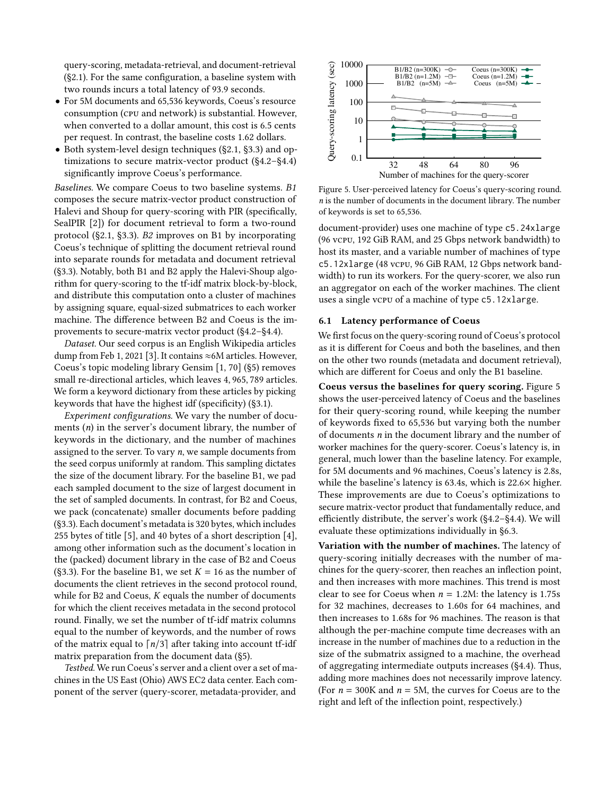query-scoring, metadata-retrieval, and document-retrieval ([§2.1\)](#page-1-0). For the same configuration, a baseline system with two rounds incurs a total latency of 93.9 seconds.

- For 5M documents and 65,536 keywords, Coeus's resource consumption (cpu and network) is substantial. However, when converted to a dollar amount, this cost is 6.5 cents per request. In contrast, the baseline costs 1.62 dollars.
- Both system-level design techniques ([§2.1,](#page-1-0) [§3.3\)](#page-4-0) and optimizations to secure matrix-vector product ([§4.2–](#page-6-0)[§4.4\)](#page-7-1) significantly improve Coeus's performance.

Baselines. We compare Coeus to two baseline systems. B1 composes the secure matrix-vector product construction of Halevi and Shoup for query-scoring with PIR (specifically, SealPIR [\[2\]](#page-15-3)) for document retrieval to form a two-round protocol ([§2.1,](#page-1-0) [§3.3\)](#page-4-0). B2 improves on B1 by incorporating Coeus's technique of splitting the document retrieval round into separate rounds for metadata and document retrieval ([§3.3\)](#page-4-0). Notably, both B1 and B2 apply the Halevi-Shoup algorithm for query-scoring to the tf-idf matrix block-by-block, and distribute this computation onto a cluster of machines by assigning square, equal-sized submatrices to each worker machine. The difference between B2 and Coeus is the improvements to secure-matrix vector product ([§4.2–](#page-6-0)[§4.4\)](#page-7-1).

Dataset. Our seed corpus is an English Wikipedia articles dump from Feb 1, 2021 [\[3\]](#page-15-4). It contains ≈6M articles. However, Coeus's topic modeling library Gensim [\[1,](#page-15-1) [70\]](#page-17-29) ([§5\)](#page-8-0) removes small re-directional articles, which leaves 4, 965, 789 articles. We form a keyword dictionary from these articles by picking keywords that have the highest idf (specificity) ([§3.1\)](#page-3-0).

Experiment configurations. We vary the number of documents (n) in the server's document library, the number of keywords in the dictionary, and the number of machines assigned to the server. To vary n, we sample documents from the seed corpus uniformly at random. This sampling dictates the size of the document library. For the baseline B1, we pad each sampled document to the size of largest document in the set of sampled documents. In contrast, for B2 and Coeus, we pack (concatenate) smaller documents before padding ([§3.3\)](#page-4-0). Each document's metadata is 320 bytes, which includes 255 bytes of title [\[5\]](#page-15-5), and 40 bytes of a short description [\[4\]](#page-15-6), among other information such as the document's location in the (packed) document library in the case of B2 and Coeus ([§3.3\)](#page-4-0). For the baseline B1, we set  $K = 16$  as the number of documents the client retrieves in the second protocol round, while for B2 and Coeus,  $K$  equals the number of documents for which the client receives metadata in the second protocol round. Finally, we set the number of tf-idf matrix columns equal to the number of keywords, and the number of rows of the matrix equal to  $\lceil n/3 \rceil$  after taking into account tf-idf matrix preparation from the document data ([§5\)](#page-8-0).

Testbed. We run Coeus's server and a client over a set of machines in the US East (Ohio) AWS EC2 data center. Each component of the server (query-scorer, metadata-provider, and

<span id="page-9-0"></span>

Figure 5. User-perceived latency for Coeus's query-scoring round. n is the number of documents in the document library. The number of keywords is set to 65,536.

document-provider) uses one machine of type c5.24xlarge (96 vcpu, 192 GiB RAM, and 25 Gbps network bandwidth) to host its master, and a variable number of machines of type c5.12xlarge (48 vcpu, 96 GiB RAM, 12 Gbps network bandwidth) to run its workers. For the query-scorer, we also run an aggregator on each of the worker machines. The client uses a single vcpu of a machine of type c5.12xlarge.

#### 6.1 Latency performance of Coeus

We first focus on the query-scoring round of Coeus's protocol as it is different for Coeus and both the baselines, and then on the other two rounds (metadata and document retrieval), which are different for Coeus and only the B1 baseline.

Coeus versus the baselines for query scoring. Figure [5](#page-9-0) shows the user-perceived latency of Coeus and the baselines for their query-scoring round, while keeping the number of keywords fixed to 65,536 but varying both the number of documents n in the document library and the number of worker machines for the query-scorer. Coeus's latency is, in general, much lower than the baseline latency. For example, for 5M documents and 96 machines, Coeus's latency is 2.8s, while the baseline's latency is 63.4s, which is 22.6× higher. These improvements are due to Coeus's optimizations to secure matrix-vector product that fundamentally reduce, and efficiently distribute, the server's work ([§4.2–](#page-6-0)[§4.4\)](#page-7-1). We will evaluate these optimizations individually in [§6.3.](#page-11-0)

Variation with the number of machines. The latency of query-scoring initially decreases with the number of machines for the query-scorer, then reaches an inflection point, and then increases with more machines. This trend is most clear to see for Coeus when  $n = 1.2M$ : the latency is 1.75s for 32 machines, decreases to 1.60s for 64 machines, and then increases to 1.68s for 96 machines. The reason is that although the per-machine compute time decreases with an increase in the number of machines due to a reduction in the size of the submatrix assigned to a machine, the overhead of aggregating intermediate outputs increases ([§4.4\)](#page-7-1). Thus, adding more machines does not necessarily improve latency. (For  $n = 300K$  and  $n = 5M$ , the curves for Coeus are to the right and left of the inflection point, respectively.)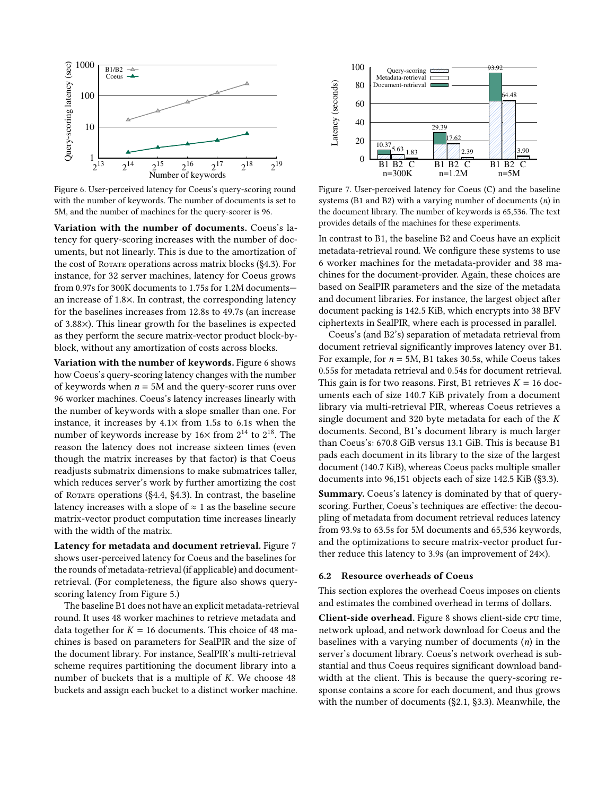<span id="page-10-0"></span>

Figure 6. User-perceived latency for Coeus's query-scoring round with the number of keywords. The number of documents is set to 5M, and the number of machines for the query-scorer is 96.

Variation with the number of documents. Coeus's latency for query-scoring increases with the number of documents, but not linearly. This is due to the amortization of the cost of Rotate operations across matrix blocks ([§4.3\)](#page-7-0). For instance, for 32 server machines, latency for Coeus grows from 0.97s for 300K documents to 1.75s for 1.2M documents an increase of 1.8×. In contrast, the corresponding latency for the baselines increases from 12.8s to 49.7s (an increase of 3.88×). This linear growth for the baselines is expected as they perform the secure matrix-vector product block-byblock, without any amortization of costs across blocks.

Variation with the number of keywords. Figure [6](#page-10-0) shows how Coeus's query-scoring latency changes with the number of keywords when  $n = 5M$  and the query-scorer runs over 96 worker machines. Coeus's latency increases linearly with the number of keywords with a slope smaller than one. For instance, it increases by  $4.1\times$  from 1.5s to 6.1s when the number of keywords increase by  $16\times$  from  $2^{14}$  to  $2^{18}$ . The reason the latency does not increase sixteen times (even though the matrix increases by that factor) is that Coeus readjusts submatrix dimensions to make submatrices taller, which reduces server's work by further amortizing the cost of Rotate operations ([§4.4,](#page-7-1) [§4.3\)](#page-7-0). In contrast, the baseline latency increases with a slope of  $\approx$  1 as the baseline secure matrix-vector product computation time increases linearly with the width of the matrix.

Latency for metadata and document retrieval. Figure [7](#page-10-1) shows user-perceived latency for Coeus and the baselines for the rounds of metadata-retrieval (if applicable) and documentretrieval. (For completeness, the figure also shows queryscoring latency from Figure [5.](#page-9-0))

The baseline B1 does not have an explicit metadata-retrieval round. It uses 48 worker machines to retrieve metadata and data together for  $K = 16$  documents. This choice of 48 machines is based on parameters for SealPIR and the size of the document library. For instance, SealPIR's multi-retrieval scheme requires partitioning the document library into a number of buckets that is a multiple of K. We choose 48 buckets and assign each bucket to a distinct worker machine.

<span id="page-10-1"></span>

Figure 7. User-perceived latency for Coeus (C) and the baseline systems (B1 and B2) with a varying number of documents  $(n)$  in the document library. The number of keywords is 65,536. The text provides details of the machines for these experiments.

In contrast to B1, the baseline B2 and Coeus have an explicit metadata-retrieval round. We configure these systems to use 6 worker machines for the metadata-provider and 38 machines for the document-provider. Again, these choices are based on SealPIR parameters and the size of the metadata and document libraries. For instance, the largest object after document packing is 142.5 KiB, which encrypts into 38 BFV ciphertexts in SealPIR, where each is processed in parallel.

Coeus's (and B2's) separation of metadata retrieval from document retrieval significantly improves latency over B1. For example, for  $n = 5M$ , B1 takes 30.5s, while Coeus takes 0.55s for metadata retrieval and 0.54s for document retrieval. This gain is for two reasons. First, B1 retrieves  $K = 16$  documents each of size 140.7 KiB privately from a document library via multi-retrieval PIR, whereas Coeus retrieves a single document and 320 byte metadata for each of the K documents. Second, B1's document library is much larger than Coeus's: 670.8 GiB versus 13.1 GiB. This is because B1 pads each document in its library to the size of the largest document (140.7 KiB), whereas Coeus packs multiple smaller documents into 96,151 objects each of size 142.5 KiB ([§3.3\)](#page-4-0).

Summary. Coeus's latency is dominated by that of queryscoring. Further, Coeus's techniques are effective: the decoupling of metadata from document retrieval reduces latency from 93.9s to 63.5s for 5M documents and 65,536 keywords, and the optimizations to secure matrix-vector product further reduce this latency to 3.9s (an improvement of 24×).

#### 6.2 Resource overheads of Coeus

This section explores the overhead Coeus imposes on clients and estimates the combined overhead in terms of dollars.

Client-side overhead. Figure [8](#page-11-1) shows client-side cpu time, network upload, and network download for Coeus and the baselines with a varying number of documents  $(n)$  in the server's document library. Coeus's network overhead is substantial and thus Coeus requires significant download bandwidth at the client. This is because the query-scoring response contains a score for each document, and thus grows with the number of documents ([§2.1,](#page-1-0) [§3.3\)](#page-4-0). Meanwhile, the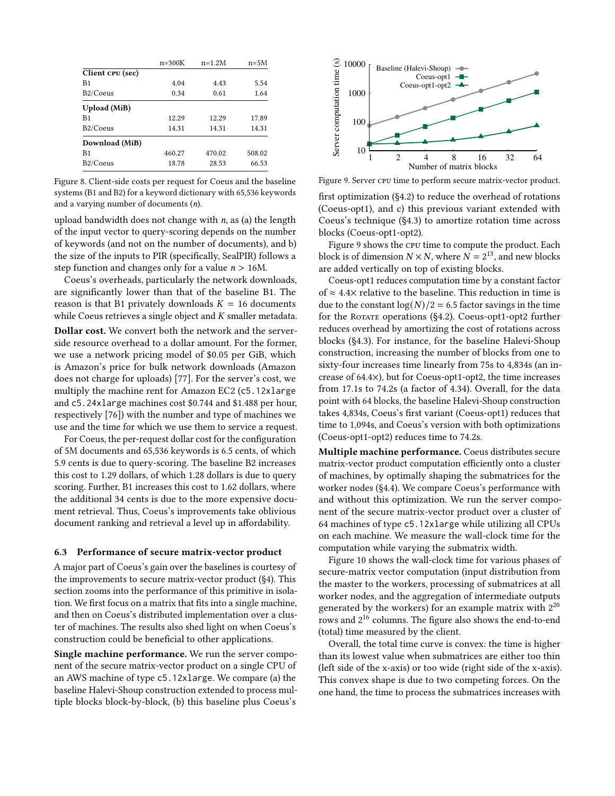<span id="page-11-1"></span>

|                       | $n = 300K$ | $n=1.2M$ | $n=5M$ |
|-----------------------|------------|----------|--------|
| Client CPU (sec)      |            |          |        |
| B1                    | 4.04       | 4.43     | 5.54   |
| B <sub>2</sub> /Coeus | 0.34       | 0.61     | 1.64   |
| <b>Upload</b> (MiB)   |            |          |        |
| B <sub>1</sub>        | 12.29      | 12.29    | 17.89  |
| B <sub>2</sub> /Coeus | 14.31      | 14.31    | 14.31  |
| Download (MiB)        |            |          |        |
| B <sub>1</sub>        | 460.27     | 470.02   | 508.02 |
| B <sub>2</sub> /Coeus | 18.78      | 28.53    | 66.53  |

Figure 8. Client-side costs per request for Coeus and the baseline systems (B1 and B2) for a keyword dictionary with 65,536 keywords and a varying number of documents (n).

upload bandwidth does not change with  $n$ , as (a) the length of the input vector to query-scoring depends on the number of keywords (and not on the number of documents), and b) the size of the inputs to PIR (specifically, SealPIR) follows a step function and changes only for a value  $n > 16M$ .

Coeus's overheads, particularly the network downloads, are significantly lower than that of the baseline B1. The reason is that B1 privately downloads  $K = 16$  documents while Coeus retrieves a single object and K smaller metadata.

Dollar cost. We convert both the network and the serverside resource overhead to a dollar amount. For the former, we use a network pricing model of \$0.05 per GiB, which is Amazon's price for bulk network downloads (Amazon does not charge for uploads) [\[77\]](#page-17-30). For the server's cost, we multiply the machine rent for Amazon EC2 (c5.12xlarge and c5.24xlarge machines cost \$0.744 and \$1.488 per hour, respectively [\[76\]](#page-17-31)) with the number and type of machines we use and the time for which we use them to service a request.

For Coeus, the per-request dollar cost for the configuration of 5M documents and 65,536 keywords is 6.5 cents, of which 5.9 cents is due to query-scoring. The baseline B2 increases this cost to 1.29 dollars, of which 1.28 dollars is due to query scoring. Further, B1 increases this cost to 1.62 dollars, where the additional 34 cents is due to the more expensive document retrieval. Thus, Coeus's improvements take oblivious document ranking and retrieval a level up in affordability.

#### <span id="page-11-0"></span>6.3 Performance of secure matrix-vector product

A major part of Coeus's gain over the baselines is courtesy of the improvements to secure matrix-vector product ([§4\)](#page-5-0). This section zooms into the performance of this primitive in isolation. We first focus on a matrix that fits into a single machine, and then on Coeus's distributed implementation over a cluster of machines. The results also shed light on when Coeus's construction could be beneficial to other applications.

Single machine performance. We run the server component of the secure matrix-vector product on a single CPU of an AWS machine of type c5.12xlarge. We compare (a) the baseline Halevi-Shoup construction extended to process multiple blocks block-by-block, (b) this baseline plus Coeus's

<span id="page-11-2"></span>

Figure 9. Server cpu time to perform secure matrix-vector product.

first optimization ([§4.2\)](#page-6-0) to reduce the overhead of rotations (Coeus-opt1), and c) this previous variant extended with Coeus's technique ([§4.3\)](#page-7-0) to amortize rotation time across blocks (Coeus-opt1-opt2).

Figure [9](#page-11-2) shows the cpu time to compute the product. Each block is of dimension  $N \times N$ , where  $N = 2^{13}$ , and new blocks are added vertically on top of existing blocks.

Coeus-opt1 reduces computation time by a constant factor of  $\approx$  4.4× relative to the baseline. This reduction in time is due to the constant  $log(N)/2 = 6.5$  factor savings in the time for the ROTATE operations  $(§4.2)$  $(§4.2)$ . Coeus-opt1-opt2 further reduces overhead by amortizing the cost of rotations across blocks ([§4.3\)](#page-7-0). For instance, for the baseline Halevi-Shoup construction, increasing the number of blocks from one to sixty-four increases time linearly from 75s to 4,834s (an increase of 64.4×), but for Coeus-opt1-opt2, the time increases from 17.1s to 74.2s (a factor of 4.34). Overall, for the data point with 64 blocks, the baseline Halevi-Shoup construction takes 4,834s, Coeus's first variant (Coeus-opt1) reduces that time to 1,094s, and Coeus's version with both optimizations (Coeus-opt1-opt2) reduces time to 74.2s.

Multiple machine performance. Coeus distributes secure matrix-vector product computation efficiently onto a cluster of machines, by optimally shaping the submatrices for the worker nodes ([§4.4\)](#page-7-1). We compare Coeus's performance with and without this optimization. We run the server component of the secure matrix-vector product over a cluster of 64 machines of type c5.12xlarge while utilizing all CPUs on each machine. We measure the wall-clock time for the computation while varying the submatrix width.

Figure [10](#page-12-1) shows the wall-clock time for various phases of secure-matrix vector computation (input distribution from the master to the workers, processing of submatrices at all worker nodes, and the aggregation of intermediate outputs generated by the workers) for an example matrix with  $2^{20}$  $\overline{\rm{c}}$  rows and 2 $^{\rm 16}$  columns. The figure also shows the end-to-end (total) time measured by the client.

Overall, the total time curve is convex: the time is higher than its lowest value when submatrices are either too thin (left side of the x-axis) or too wide (right side of the x-axis). This convex shape is due to two competing forces. On the one hand, the time to process the submatrices increases with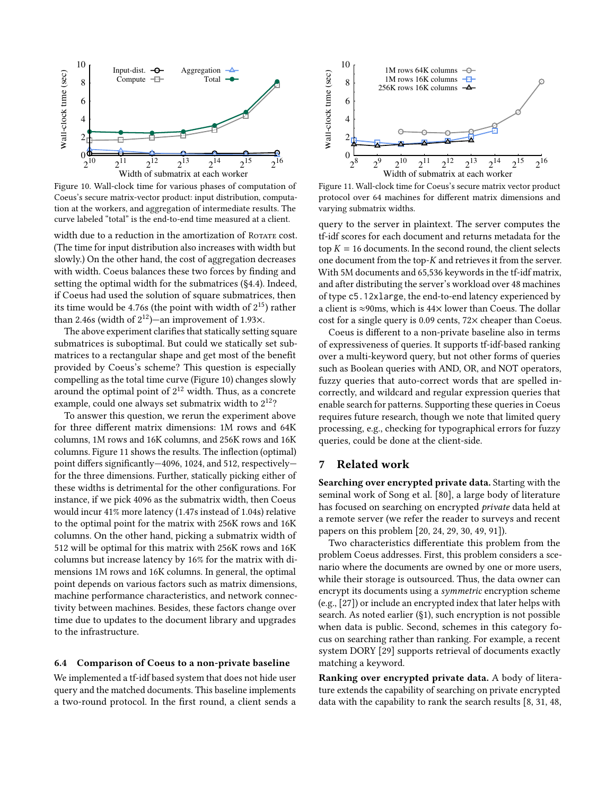<span id="page-12-1"></span>

Figure 10. Wall-clock time for various phases of computation of Coeus's secure matrix-vector product: input distribution, computation at the workers, and aggregation of intermediate results. The curve labeled "total" is the end-to-end time measured at a client.

width due to a reduction in the amortization of ROTATE cost. (The time for input distribution also increases with width but slowly.) On the other hand, the cost of aggregation decreases with width. Coeus balances these two forces by finding and setting the optimal width for the submatrices ([§4.4\)](#page-7-1). Indeed, if Coeus had used the solution of square submatrices, then its time would be 4.76s (the point with width of  $2^{15}$ ) rather than 2.46s (width of  $2^{12}$ )—an improvement of 1.93 $\times$ .

The above experiment clarifies that statically setting square submatrices is suboptimal. But could we statically set submatrices to a rectangular shape and get most of the benefit provided by Coeus's scheme? This question is especially compelling as the total time curve (Figure [10\)](#page-12-1) changes slowly around the optimal point of  $2^{12}$  width. Thus, as a concrete example, could one always set submatrix width to  $2^{12}$ ?

To answer this question, we rerun the experiment above for three different matrix dimensions: 1M rows and 64K columns, 1M rows and 16K columns, and 256K rows and 16K columns. Figure [11](#page-12-2) shows the results. The inflection (optimal) point differs significantly—4096, 1024, and 512, respectively for the three dimensions. Further, statically picking either of these widths is detrimental for the other configurations. For instance, if we pick 4096 as the submatrix width, then Coeus would incur 41% more latency (1.47s instead of 1.04s) relative to the optimal point for the matrix with 256K rows and 16K columns. On the other hand, picking a submatrix width of 512 will be optimal for this matrix with 256K rows and 16K columns but increase latency by 16% for the matrix with dimensions 1M rows and 16K columns. In general, the optimal point depends on various factors such as matrix dimensions, machine performance characteristics, and network connectivity between machines. Besides, these factors change over time due to updates to the document library and upgrades to the infrastructure.

#### <span id="page-12-3"></span>6.4 Comparison of Coeus to a non-private baseline

We implemented a tf-idf based system that does not hide user query and the matched documents. This baseline implements a two-round protocol. In the first round, a client sends a

<span id="page-12-2"></span>

Figure 11. Wall-clock time for Coeus's secure matrix vector product protocol over 64 machines for different matrix dimensions and varying submatrix widths.

query to the server in plaintext. The server computes the tf-idf scores for each document and returns metadata for the top  $K = 16$  documents. In the second round, the client selects one document from the top-K and retrieves it from the server. With 5M documents and 65,536 keywords in the tf-idf matrix, and after distributing the server's workload over 48 machines of type c5.12xlarge, the end-to-end latency experienced by a client is ≈90ms, which is 44× lower than Coeus. The dollar cost for a single query is 0.09 cents, 72× cheaper than Coeus.

Coeus is different to a non-private baseline also in terms of expressiveness of queries. It supports tf-idf-based ranking over a multi-keyword query, but not other forms of queries such as Boolean queries with AND, OR, and NOT operators, fuzzy queries that auto-correct words that are spelled incorrectly, and wildcard and regular expression queries that enable search for patterns. Supporting these queries in Coeus requires future research, though we note that limited query processing, e.g., checking for typographical errors for fuzzy queries, could be done at the client-side.

### <span id="page-12-0"></span>7 Related work

Searching over encrypted private data. Starting with the seminal work of Song et al. [\[80\]](#page-17-7), a large body of literature has focused on searching on encrypted private data held at a remote server (we refer the reader to surveys and recent papers on this problem [\[20,](#page-16-4) [24,](#page-16-5) [29,](#page-16-6) [30,](#page-16-34) [49,](#page-16-9) [91\]](#page-17-12)).

Two characteristics differentiate this problem from the problem Coeus addresses. First, this problem considers a scenario where the documents are owned by one or more users, while their storage is outsourced. Thus, the data owner can encrypt its documents using a symmetric encryption scheme (e.g., [\[27\]](#page-16-35)) or include an encrypted index that later helps with search. As noted earlier ([§1\)](#page-0-0), such encryption is not possible when data is public. Second, schemes in this category focus on searching rather than ranking. For example, a recent system DORY [\[29\]](#page-16-6) supports retrieval of documents exactly matching a keyword.

Ranking over encrypted private data. A body of literature extends the capability of searching on private encrypted data with the capability to rank the search results [\[8,](#page-16-3) [31,](#page-16-7) [48,](#page-16-8)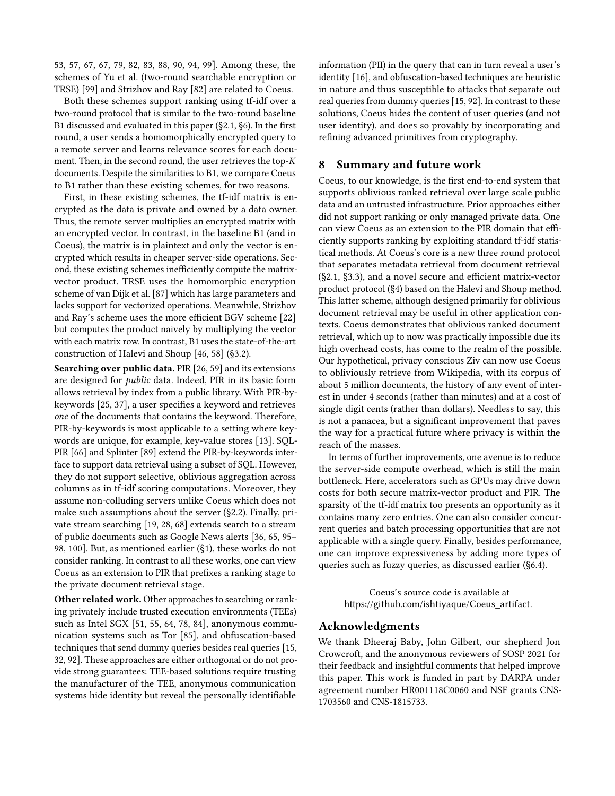[53,](#page-17-3) [57,](#page-17-4) [67,](#page-17-5) [67,](#page-17-5) [79,](#page-17-6) [82,](#page-17-8) [83,](#page-17-9) [88,](#page-17-10) [90,](#page-17-11) [94,](#page-18-0) [99\]](#page-18-1). Among these, the schemes of Yu et al. (two-round searchable encryption or TRSE) [\[99\]](#page-18-1) and Strizhov and Ray [\[82\]](#page-17-8) are related to Coeus.

Both these schemes support ranking using tf-idf over a two-round protocol that is similar to the two-round baseline B1 discussed and evaluated in this paper ([§2.1,](#page-1-0) [§6\)](#page-8-1). In the first round, a user sends a homomorphically encrypted query to a remote server and learns relevance scores for each document. Then, in the second round, the user retrieves the top-K documents. Despite the similarities to B1, we compare Coeus to B1 rather than these existing schemes, for two reasons.

First, in these existing schemes, the tf-idf matrix is encrypted as the data is private and owned by a data owner. Thus, the remote server multiplies an encrypted matrix with an encrypted vector. In contrast, in the baseline B1 (and in Coeus), the matrix is in plaintext and only the vector is encrypted which results in cheaper server-side operations. Second, these existing schemes inefficiently compute the matrixvector product. TRSE uses the homomorphic encryption scheme of van Dijk et al. [\[87\]](#page-17-32) which has large parameters and lacks support for vectorized operations. Meanwhile, Strizhov and Ray's scheme uses the more efficient BGV scheme [\[22\]](#page-16-24) but computes the product naively by multiplying the vector with each matrix row. In contrast, B1 uses the state-of-the-art construction of Halevi and Shoup [\[46,](#page-16-15) [58\]](#page-17-18) ([§3.2\)](#page-3-2).

Searching over public data. PIR [\[26,](#page-16-11) [59\]](#page-17-14) and its extensions are designed for public data. Indeed, PIR in its basic form allows retrieval by index from a public library. With PIR-bykeywords [\[25,](#page-16-12) [37\]](#page-16-36), a user specifies a keyword and retrieves one of the documents that contains the keyword. Therefore, PIR-by-keywords is most applicable to a setting where keywords are unique, for example, key-value stores [\[13\]](#page-16-20). SQL-PIR [\[66\]](#page-17-33) and Splinter [\[89\]](#page-17-34) extend the PIR-by-keywords interface to support data retrieval using a subset of SQL. However, they do not support selective, oblivious aggregation across columns as in tf-idf scoring computations. Moreover, they assume non-colluding servers unlike Coeus which does not make such assumptions about the server ([§2.2\)](#page-2-1). Finally, private stream searching [\[19,](#page-16-13) [28,](#page-16-37) [68\]](#page-17-15) extends search to a stream of public documents such as Google News alerts [\[36,](#page-16-38) [65,](#page-17-35) [95–](#page-18-4) [98,](#page-18-5) [100\]](#page-18-6). But, as mentioned earlier ([§1\)](#page-0-0), these works do not consider ranking. In contrast to all these works, one can view Coeus as an extension to PIR that prefixes a ranking stage to the private document retrieval stage.

Other related work. Other approaches to searching or ranking privately include trusted execution environments (TEEs) such as Intel SGX [\[51,](#page-17-36) [55,](#page-17-37) [64,](#page-17-38) [78,](#page-17-39) [84\]](#page-17-40), anonymous communication systems such as Tor [\[85\]](#page-17-41), and obfuscation-based techniques that send dummy queries besides real queries [\[15,](#page-16-39) [32,](#page-16-40) [92\]](#page-18-7). These approaches are either orthogonal or do not provide strong guarantees: TEE-based solutions require trusting the manufacturer of the TEE, anonymous communication systems hide identity but reveal the personally identifiable

information (PII) in the query that can in turn reveal a user's identity [\[16\]](#page-16-41), and obfuscation-based techniques are heuristic in nature and thus susceptible to attacks that separate out real queries from dummy queries [\[15,](#page-16-39) [92\]](#page-18-7). In contrast to these solutions, Coeus hides the content of user queries (and not user identity), and does so provably by incorporating and refining advanced primitives from cryptography.

# 8 Summary and future work

Coeus, to our knowledge, is the first end-to-end system that supports oblivious ranked retrieval over large scale public data and an untrusted infrastructure. Prior approaches either did not support ranking or only managed private data. One can view Coeus as an extension to the PIR domain that efficiently supports ranking by exploiting standard tf-idf statistical methods. At Coeus's core is a new three round protocol that separates metadata retrieval from document retrieval ([§2.1,](#page-1-0) [§3.3\)](#page-4-0), and a novel secure and efficient matrix-vector product protocol ([§4\)](#page-5-0) based on the Halevi and Shoup method. This latter scheme, although designed primarily for oblivious document retrieval may be useful in other application contexts. Coeus demonstrates that oblivious ranked document retrieval, which up to now was practically impossible due its high overhead costs, has come to the realm of the possible. Our hypothetical, privacy conscious Ziv can now use Coeus to obliviously retrieve from Wikipedia, with its corpus of about 5 million documents, the history of any event of interest in under 4 seconds (rather than minutes) and at a cost of single digit cents (rather than dollars). Needless to say, this is not a panacea, but a significant improvement that paves the way for a practical future where privacy is within the reach of the masses.

In terms of further improvements, one avenue is to reduce the server-side compute overhead, which is still the main bottleneck. Here, accelerators such as GPUs may drive down costs for both secure matrix-vector product and PIR. The sparsity of the tf-idf matrix too presents an opportunity as it contains many zero entries. One can also consider concurrent queries and batch processing opportunities that are not applicable with a single query. Finally, besides performance, one can improve expressiveness by adding more types of queries such as fuzzy queries, as discussed earlier ([§6.4\)](#page-12-3).

> Coeus's source code is available at https://github.[com/ishtiyaque/Coeus\\_artifact](https://github.com/ishtiyaque/Coeus_artifact).

### Acknowledgments

We thank Dheeraj Baby, John Gilbert, our shepherd Jon Crowcroft, and the anonymous reviewers of SOSP 2021 for their feedback and insightful comments that helped improve this paper. This work is funded in part by DARPA under agreement number HR001118C0060 and NSF grants CNS-1703560 and CNS-1815733.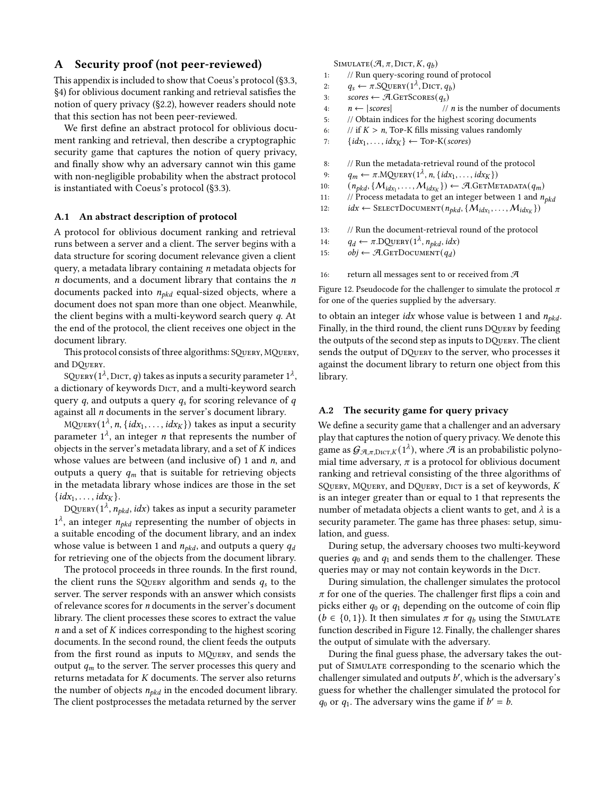### <span id="page-14-0"></span>A Security proof (not peer-reviewed)

This appendix is included to show that Coeus's protocol ([§3.3,](#page-4-0) [§4\)](#page-5-0) for oblivious document ranking and retrieval satisfies the notion of query privacy ([§2.2\)](#page-2-1), however readers should note that this section has not been peer-reviewed.

We first define an abstract protocol for oblivious document ranking and retrieval, then describe a cryptographic security game that captures the notion of query privacy, and finally show why an adversary cannot win this game with non-negligible probability when the abstract protocol is instantiated with Coeus's protocol ([§3.3\)](#page-4-0).

#### A.1 An abstract description of protocol

A protocol for oblivious document ranking and retrieval runs between a server and a client. The server begins with a data structure for scoring document relevance given a client query, a metadata library containing  $n$  metadata objects for  $n$  documents, and a document library that contains the  $n$ documents packed into  $n_{pkd}$  equal-sized objects, where a document does not span more than one object. Meanwhile, the client begins with a multi-keyword search query q. At the end of the protocol, the client receives one object in the document library.

This protocol consists of three algorithms: SQuery, MQuery, and DQuery.

SQUERY( $1^{\lambda}$ , DICT, q) takes as inputs a security parameter  $1^{\lambda}$ , a dictionary of keywords DICT, and a multi-keyword search query q, and outputs a query  $q_s$  for scoring relevance of q against all n documents in the server's document library.

MQUERY( $1^{\lambda}$ , n, { $idx_1, ..., idx_K$ }) takes as input a security parameter  $1^{\lambda}$ , an integer *n* that represents the number of objects in the server's metadata library, and a set of  $K$  indices whose values are between (and inclusive of) 1 and  $n$ , and outputs a query  $q_m$  that is suitable for retrieving objects in the metadata library whose indices are those in the set  $\{idx_1, \ldots, idx_K\}.$ 

DQUERY( $1^{\lambda}$ ,  $n_{bkd}$ , idx) takes as input a security parameter  $1^{\lambda}$ , an integer  $n_{\text{okd}}$  representing the number of objects in a suitable encoding of the document library, and an index whose value is between 1 and  $n_{pkd}$ , and outputs a query  $q_d$ for retrieving one of the objects from the document library.

The protocol proceeds in three rounds. In the first round, the client runs the SQUERY algorithm and sends  $q_s$  to the server. The server responds with an answer which consists of relevance scores for n documents in the server's document library. The client processes these scores to extract the value  $n$  and a set of  $K$  indices corresponding to the highest scoring documents. In the second round, the client feeds the outputs from the first round as inputs to MQuery, and sends the output  $q_m$  to the server. The server processes this query and returns metadata for K documents. The server also returns the number of objects  $n_{pkd}$  in the encoded document library. The client postprocesses the metadata returned by the server

<span id="page-14-1"></span>SIMULATE $(\mathcal{A}, \pi, \text{DicT}, K, q_b)$ 

- 1: // Run query-scoring round of protocol
- 2:  $q_s \leftarrow \pi \text{.SQuery}(1^{\lambda}, \text{Dict}, q_b)$
- 3:  $\text{scores} \leftarrow \mathcal{A}.\text{GETScores}(q_s)$
- 4:  $n \leftarrow |{} *scores*|$  // *n* is the number of documents
- 5: // Obtain indices for the highest scoring documents
- 6: // if  $K > n$ , Top-K fills missing values randomly
- 7:  $\{idx_1, \ldots, idx_K\} \leftarrow \text{Top-K}(scores)$
- 8: // Run the metadata-retrieval round of the protocol
- 9:  $q_m \leftarrow \pi \cdot \text{MQUERY}(1^{\lambda}, n, \{idx_1, \ldots, idx_K\})$
- 10:  $(n_{pkd}, \{M_{idx_1}, \ldots, M_{idx_K}\}) \leftarrow \mathcal{A}.\text{GETMetADATA}(q_m)$
- 11: // Process metadata to get an integer between 1 and  $n_{pkd}$
- 12:  $idx \leftarrow$  SELECTDOCUMENT $(n_{pkd}, \{M_{idx_1}, \ldots, M_{idx_K}\})$
- 13: // Run the document-retrieval round of the protocol
- 14:  $q_d \leftarrow \pi \cdot \text{DQUERY}(1^{\lambda}, n_{pkd}, idx)$
- 15:  $obj \leftarrow \mathcal{A}.\text{GETDocument}(q_d)$
- 16: return all messages sent to or received from  $\mathcal{A}$

Figure 12. Pseudocode for the challenger to simulate the protocol  $\pi$ for one of the queries supplied by the adversary.

to obtain an integer *idx* whose value is between 1 and  $n_{pkd}$ . Finally, in the third round, the client runs DQuery by feeding the outputs of the second step as inputs to DQuery. The client sends the output of DQuery to the server, who processes it against the document library to return one object from this library.

#### A.2 The security game for query privacy

We define a security game that a challenger and an adversary play that captures the notion of query privacy. We denote this game as  $\mathcal{G}_{\mathcal{A},\pi,\mathrm{Dicr},K}(1^{\lambda})$ , where  $\mathcal A$  is an probabilistic polynomial time adversary,  $\pi$  is a protocol for oblivious document ranking and retrieval consisting of the three algorithms of SQUERY, MQUERY, and DQUERY, DICT is a set of keywords, K is an integer greater than or equal to 1 that represents the number of metadata objects a client wants to get, and  $\lambda$  is a security parameter. The game has three phases: setup, simulation, and guess.

During setup, the adversary chooses two multi-keyword queries  $q_0$  and  $q_1$  and sends them to the challenger. These queries may or may not contain keywords in the DICT.

During simulation, the challenger simulates the protocol  $\pi$  for one of the queries. The challenger first flips a coin and picks either  $q_0$  or  $q_1$  depending on the outcome of coin flip  $(b \in \{0, 1\})$ . It then simulates  $\pi$  for  $q_b$  using the SIMULATE function described in Figure [12.](#page-14-1) Finally, the challenger shares the output of simulate with the adversary.

During the final guess phase, the adversary takes the output of Simulate corresponding to the scenario which the challenger simulated and outputs  $b'$ , which is the adversary's guess for whether the challenger simulated the protocol for  $q_0$  or  $q_1$ . The adversary wins the game if  $b' = b$ .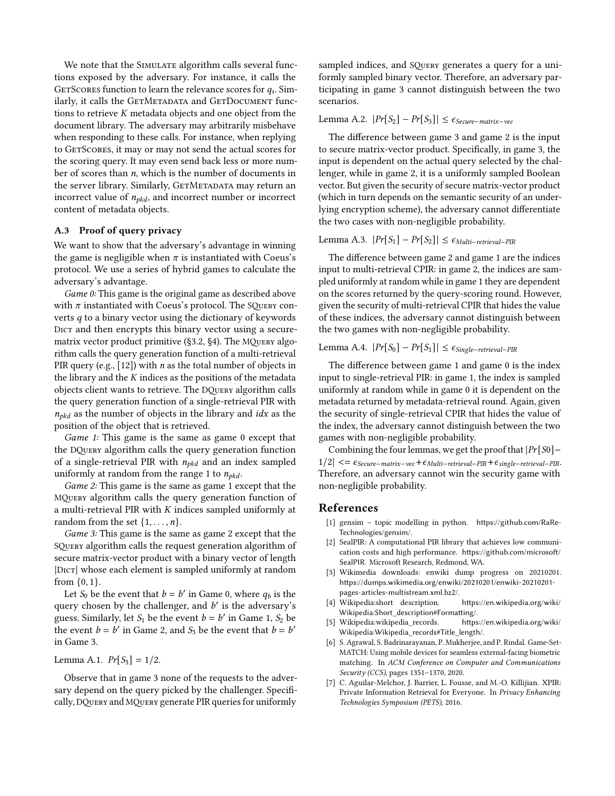We note that the SIMULATE algorithm calls several functions exposed by the adversary. For instance, it calls the GETSCORES function to learn the relevance scores for  $q_s$ . Similarly, it calls the GETMETADATA and GETDOCUMENT functions to retrieve K metadata objects and one object from the document library. The adversary may arbitrarily misbehave when responding to these calls. For instance, when replying to GETSCORES, it may or may not send the actual scores for the scoring query. It may even send back less or more number of scores than  $n$ , which is the number of documents in the server library. Similarly, GETMETADATA may return an incorrect value of  $n_{pkd}$ , and incorrect number or incorrect content of metadata objects.

### A.3 Proof of query privacy

We want to show that the adversary's advantage in winning the game is negligible when  $\pi$  is instantiated with Coeus's protocol. We use a series of hybrid games to calculate the adversary's advantage.

Game 0: This game is the original game as described above with  $\pi$  instantiated with Coeus's protocol. The SQUERY converts q to a binary vector using the dictionary of keywords DICT and then encrypts this binary vector using a secure-matrix vector product primitive ([§3.2,](#page-3-2) [§4\)](#page-5-0). The MQUERY algorithm calls the query generation function of a multi-retrieval PIR query (e.g.,  $[12]$ ) with *n* as the total number of objects in the library and the  $K$  indices as the positions of the metadata objects client wants to retrieve. The DQuery algorithm calls the query generation function of a single-retrieval PIR with  $n_{pkd}$  as the number of objects in the library and *idx* as the position of the object that is retrieved.

Game 1: This game is the same as game 0 except that the DQuery algorithm calls the query generation function of a single-retrieval PIR with  $n_{pkd}$  and an index sampled uniformly at random from the range 1 to  $n_{pkd}$ .

Game 2: This game is the same as game 1 except that the MQuery algorithm calls the query generation function of a multi-retrieval PIR with  $K$  indices sampled uniformly at random from the set  $\{1, \ldots, n\}$ .

Game 3: This game is the same as game 2 except that the SQuery algorithm calls the request generation algorithm of secure matrix-vector product with a binary vector of length |Dict| whose each element is sampled uniformly at random from {0, 1}.

Let  $S_0$  be the event that  $b = b'$  in Game 0, where  $q_b$  is the query chosen by the challenger, and  $b'$  is the adversary's guess. Similarly, let  $S_1$  be the event  $b = b'$  in Game 1,  $S_2$  be the event  $b = b'$  in Game 2, and  $S_3$  be the event that  $b = b'$ in Game 3.

Lemma A.1.  $Pr[S_3] = 1/2$ .

Observe that in game 3 none of the requests to the adversary depend on the query picked by the challenger. Specifically, DQuery and MQuery generate PIR queries for uniformly

sampled indices, and SQUERY generates a query for a uniformly sampled binary vector. Therefore, an adversary participating in game 3 cannot distinguish between the two scenarios.

### Lemma A.2.  $|Pr[S_2] - Pr[S_3]| \leq \epsilon_{Secure-matrix-vec}$

The difference between game 3 and game 2 is the input to secure matrix-vector product. Specifically, in game 3, the input is dependent on the actual query selected by the challenger, while in game 2, it is a uniformly sampled Boolean vector. But given the security of secure matrix-vector product (which in turn depends on the semantic security of an underlying encryption scheme), the adversary cannot differentiate the two cases with non-negligible probability.

# Lemma A.3.  $|Pr[S_1] - Pr[S_2]| \leq \epsilon_{Multi-retrieval-PIR}$

The difference between game 2 and game 1 are the indices input to multi-retrieval CPIR: in game 2, the indices are sampled uniformly at random while in game 1 they are dependent on the scores returned by the query-scoring round. However, given the security of multi-retrieval CPIR that hides the value of these indices, the adversary cannot distinguish between the two games with non-negligible probability.

# Lemma A.4.  $|Pr[S_0] - Pr[S_1]| \leq \epsilon_{Single-retrieval-PIR}$

The difference between game 1 and game 0 is the index input to single-retrieval PIR: in game 1, the index is sampled uniformly at random while in game 0 it is dependent on the metadata returned by metadata-retrieval round. Again, given the security of single-retrieval CPIR that hides the value of the index, the adversary cannot distinguish between the two games with non-negligible probability.

Combining the four lemmas, we get the proof that  $|Pr[So]$ −  $1/2$ |  $\lt$ =  $\epsilon_{Secure-matrix-vec} + \epsilon_{Multi-retrieval-PIR} + \epsilon_{single-retrieval-PIR}$ Therefore, an adversary cannot win the security game with non-negligible probability.

### References

- <span id="page-15-1"></span>[1] gensim – topic modelling in python. [https://github](https://github.com/RaRe-Technologies/gensim/).com/RaRe-[Technologies/gensim/](https://github.com/RaRe-Technologies/gensim/).
- <span id="page-15-3"></span>[2] SealPIR: A computational PIR library that achieves low communication costs and high performance. https://github.[com/microsoft/](https://github.com/microsoft/SealPIR) [SealPIR](https://github.com/microsoft/SealPIR). Microsoft Research, Redmond, WA.
- <span id="page-15-4"></span>[3] Wikimedia downloads: enwiki dump progress on 20210201. https://dumps.wikimedia.[org/enwiki/20210201/enwiki-20210201](https://dumps.wikimedia.org/enwiki/20210201/enwiki-20210201-pages-articles-multistream.xml.bz2/) [pages-articles-multistream](https://dumps.wikimedia.org/enwiki/20210201/enwiki-20210201-pages-articles-multistream.xml.bz2/).xml.bz2/.
- <span id="page-15-6"></span>[4] Wikipedia:short description. https://en.[wikipedia](https://en.wikipedia.org/wiki/Wikipedia:Short_description#Formatting/).org/wiki/ [Wikipedia:Short\\_description#Formatting/](https://en.wikipedia.org/wiki/Wikipedia:Short_description#Formatting/).
- <span id="page-15-5"></span>[5] Wikipedia:wikipedia\_records. https://en.[wikipedia](https://en.wikipedia.org/wiki/Wikipedia:Wikipedia_records#Title_length/).org/wiki/ [Wikipedia:Wikipedia\\_records#Title\\_length/](https://en.wikipedia.org/wiki/Wikipedia:Wikipedia_records#Title_length/).
- <span id="page-15-2"></span>[6] S. Agrawal, S. Badrinarayanan, P. Mukherjee, and P. Rindal. Game-Set-MATCH: Using mobile devices for seamless external-facing biometric matching. In ACM Conference on Computer and Communications Security (CCS), pages 1351–1370, 2020.
- <span id="page-15-0"></span>[7] C. Aguilar-Melchor, J. Barrier, L. Fousse, and M.-O. Killijian. XPIR: Private Information Retrieval for Everyone. In Privacy Enhancing Technologies Symposium (PETS), 2016.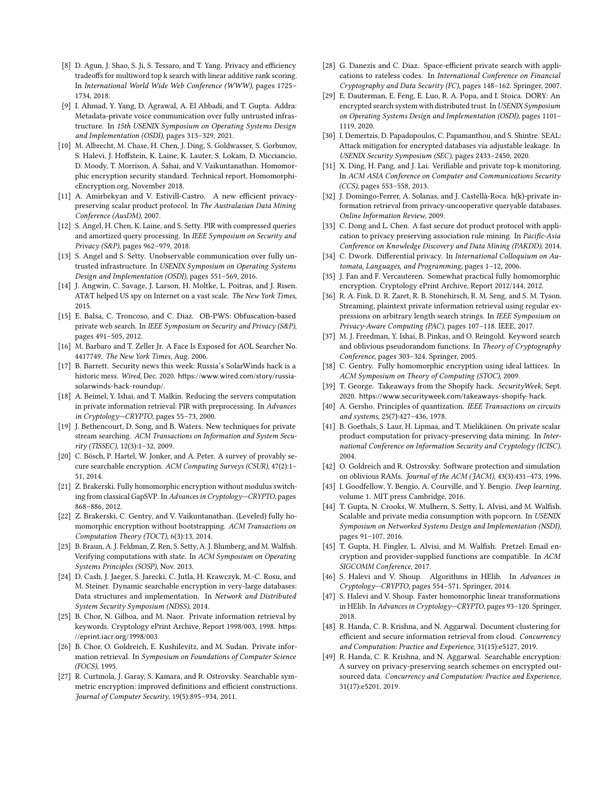- <span id="page-16-3"></span>[8] D. Agun, J. Shao, S. Ji, S. Tessaro, and T. Yang. Privacy and efficiency tradeoffs for multiword top k search with linear additive rank scoring. In International World Wide Web Conference (WWW), pages 1725– 1734, 2018.
- <span id="page-16-19"></span>[9] I. Ahmad, Y. Yang, D. Agrawal, A. El Abbadi, and T. Gupta. Addra: Metadata-private voice communication over fully untrusted infrastructure. In 15th USENIX Symposium on Operating Systems Design and Implementation (OSDI), pages 313–329, 2021.
- <span id="page-16-26"></span>[10] M. Albrecht, M. Chase, H. Chen, J. Ding, S. Goldwasser, S. Gorbunov, S. Halevi, J. Hoffstein, K. Laine, K. Lauter, S. Lokam, D. Micciancio, D. Moody, T. Morrison, A. Sahai, and V. Vaikuntanathan. Homomorphic encryption security standard. Technical report, HomomorphicEncryption.org, November 2018.
- <span id="page-16-28"></span>[11] A. Amirbekyan and V. Estivill-Castro. A new efficient privacypreserving scalar product protocol. In The Australasian Data Mining Conference (AusDM), 2007.
- <span id="page-16-17"></span>[12] S. Angel, H. Chen, K. Laine, and S. Setty. PIR with compressed queries and amortized query processing. In IEEE Symposium on Security and Privacy (S&P), pages 962–979, 2018.
- <span id="page-16-20"></span>[13] S. Angel and S. Setty. Unobservable communication over fully untrusted infrastructure. In USENIX Symposium on Operating Systems Design and Implementation (OSDI), pages 551–569, 2016.
- <span id="page-16-2"></span>[14] J. Angwin, C. Savage, J. Larson, H. Moltke, L. Poitras, and J. Risen. AT&T helped US spy on Internet on a vast scale. The New York Times, 2015.
- <span id="page-16-39"></span>[15] E. Balsa, C. Troncoso, and C. Diaz. OB-PWS: Obfuscation-based private web search. In IEEE Symposium on Security and Privacy (S&P), pages 491–505, 2012.
- <span id="page-16-41"></span>[16] M. Barbaro and T. Zeller Jr. A Face Is Exposed for AOL Searcher No. 4417749. The New York Times, Aug. 2006.
- <span id="page-16-1"></span>[17] B. Barrett. Security news this week: Russia's SolarWinds hack is a historic mess. Wired, Dec. 2020. https://www.wired.[com/story/russia](https://www.wired.com/story/russia-solarwinds-hack-roundup/)[solarwinds-hack-roundup/](https://www.wired.com/story/russia-solarwinds-hack-roundup/).
- <span id="page-16-22"></span>[18] A. Beimel, Y. Ishai, and T. Malkin. Reducing the servers computation in private information retrieval: PIR with preprocessing. In Advances in Cryptology—CRYPTO, pages 55–73, 2000.
- <span id="page-16-13"></span>[19] J. Bethencourt, D. Song, and B. Waters. New techniques for private stream searching. ACM Transactions on Information and System Security (TISSEC), 12(3):1–32, 2009.
- <span id="page-16-4"></span>[20] C. Bösch, P. Hartel, W. Jonker, and A. Peter. A survey of provably secure searchable encryption. ACM Computing Surveys (CSUR), 47(2):1– 51, 2014.
- <span id="page-16-23"></span>[21] Z. Brakerski. Fully homomorphic encryption without modulus switching from classical GapSVP. In Advances in Cryptology—CRYPTO, pages 868–886, 2012.
- <span id="page-16-24"></span>[22] Z. Brakerski, C. Gentry, and V. Vaikuntanathan. (Leveled) fully homomorphic encryption without bootstrapping. ACM Transactions on Computation Theory (TOCT), 6(3):13, 2014.
- <span id="page-16-21"></span>[23] B. Braun, A. J. Feldman, Z. Ren, S. Setty, A. J. Blumberg, and M. Walfish. Verifying computations with state. In ACM Symposium on Operating Systems Principles (SOSP), Nov. 2013.
- <span id="page-16-5"></span>[24] D. Cash, J. Jaeger, S. Jarecki, C. Jutla, H. Krawczyk, M.-C. Rosu, and M. Steiner. Dynamic searchable encryption in very-large databases: Data structures and implementation. In Network and Distributed System Security Symposium (NDSS), 2014.
- <span id="page-16-12"></span>[25] B. Chor, N. Gilboa, and M. Naor. Private information retrieval by keywords. Cryptology ePrint Archive, Report 1998/003, 1998. [https:](https://eprint.iacr.org/1998/003) //eprint.iacr.[org/1998/003](https://eprint.iacr.org/1998/003).
- <span id="page-16-11"></span>[26] B. Chor, O. Goldreich, E. Kushilevitz, and M. Sudan. Private information retrieval. In Symposium on Foundations of Computer Science (FOCS), 1995.
- <span id="page-16-35"></span>[27] R. Curtmola, J. Garay, S. Kamara, and R. Ostrovsky. Searchable symmetric encryption: improved definitions and efficient constructions. Journal of Computer Security, 19(5):895–934, 2011.
- <span id="page-16-37"></span>[28] G. Danezis and C. Diaz. Space-efficient private search with applications to rateless codes. In International Conference on Financial Cryptography and Data Security (FC), pages 148–162. Springer, 2007.
- <span id="page-16-6"></span>[29] E. Dauterman, E. Feng, E. Luo, R. A. Popa, and I. Stoica. DORY: An encrypted search system with distributed trust. In USENIX Symposium on Operating Systems Design and Implementation (OSDI), pages 1101– 1119, 2020.
- <span id="page-16-34"></span>[30] I. Demertzis, D. Papadopoulos, C. Papamanthou, and S. Shintre. SEAL: Attack mitigation for encrypted databases via adjustable leakage. In USENIX Security Symposium (SEC), pages 2433–2450, 2020.
- <span id="page-16-7"></span>[31] X. Ding, H. Pang, and J. Lai. Verifiable and private top-k monitoring. In ACM ASIA Conference on Computer and Communications Security (CCS), pages 553–558, 2013.
- <span id="page-16-40"></span>[32] J. Domingo-Ferrer, A. Solanas, and J. Castellà-Roca. h(k)-private information retrieval from privacy-uncooperative queryable databases. Online Information Review, 2009.
- <span id="page-16-29"></span>[33] C. Dong and L. Chen. A fast secure dot product protocol with application to privacy preserving association rule mining. In Pacific-Asia Conference on Knowledge Discovery and Data Mining (PAKDD), 2014.
- <span id="page-16-27"></span>[34] C. Dwork. Differential privacy. In International Colloquium on Automata, Languages, and Programming, pages 1–12, 2006.
- <span id="page-16-25"></span>[35] J. Fan and F. Vercauteren. Somewhat practical fully homomorphic encryption. Cryptology ePrint Archive, Report 2012/144, 2012.
- <span id="page-16-38"></span>[36] R. A. Fink, D. R. Zaret, R. B. Stonehirsch, R. M. Seng, and S. M. Tyson. Streaming, plaintext private information retrieval using regular expressions on arbitrary length search strings. In IEEE Symposium on Privacy-Aware Computing (PAC), pages 107–118. IEEE, 2017.
- <span id="page-16-36"></span>[37] M. J. Freedman, Y. Ishai, B. Pinkas, and O. Reingold. Keyword search and oblivious pseudorandom functions. In Theory of Cryptography Conference, pages 303–324. Springer, 2005.
- <span id="page-16-18"></span>[38] C. Gentry. Fully homomorphic encryption using ideal lattices. In ACM Symposium on Theory of Computing (STOC), 2009.
- <span id="page-16-0"></span>[39] T. George. Takeaways from the Shopify hack. SecurityWeek, Sept. 2020. https://www.securityweek.[com/takeaways-shopify-hack](https://www.securityweek.com/takeaways-shopify-hack).
- <span id="page-16-32"></span>[40] A. Gersho. Principles of quantization. IEEE Transactions on circuits and systems, 25(7):427–436, 1978.
- <span id="page-16-14"></span>[41] B. Goethals, S. Laur, H. Lipmaa, and T. Mielikäinen. On private scalar product computation for privacy-preserving data mining. In International Conference on Information Security and Cryptology (ICISC). 2004.
- <span id="page-16-10"></span>[42] O. Goldreich and R. Ostrovsky. Software protection and simulation on oblivious RAMs. Journal of the ACM (JACM), 43(3):431–473, 1996.
- <span id="page-16-31"></span>[43] I. Goodfellow, Y. Bengio, A. Courville, and Y. Bengio. Deep learning, volume 1. MIT press Cambridge, 2016.
- <span id="page-16-30"></span>[44] T. Gupta, N. Crooks, W. Mulhern, S. Setty, L. Alvisi, and M. Walfish. Scalable and private media consumption with popcorn. In USENIX Symposium on Networked Systems Design and Implementation (NSDI), pages 91–107, 2016.
- <span id="page-16-33"></span>[45] T. Gupta, H. Fingler, L. Alvisi, and M. Walfish. Pretzel: Email encryption and provider-supplied functions are compatible. In ACM SIGCOMM Conference, 2017.
- <span id="page-16-15"></span>[46] S. Halevi and V. Shoup. Algorithms in HElib. In Advances in Cryptology—CRYPTO, pages 554–571. Springer, 2014.
- <span id="page-16-16"></span>[47] S. Halevi and V. Shoup. Faster homomorphic linear transformations in HElib. In Advances in Cryptology—CRYPTO, pages 93–120. Springer, 2018.
- <span id="page-16-8"></span>[48] R. Handa, C. R. Krishna, and N. Aggarwal. Document clustering for efficient and secure information retrieval from cloud. Concurrency and Computation: Practice and Experience, 31(15):e5127, 2019.
- <span id="page-16-9"></span>[49] R. Handa, C. R. Krishna, and N. Aggarwal. Searchable encryption: A survey on privacy-preserving search schemes on encrypted outsourced data. Concurrency and Computation: Practice and Experience, 31(17):e5201, 2019.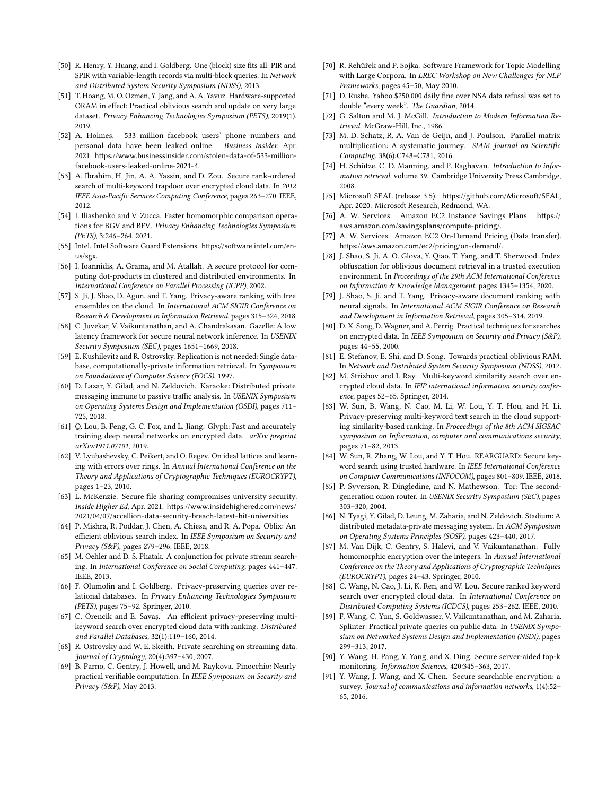- <span id="page-17-19"></span>[50] R. Henry, Y. Huang, and I. Goldberg. One (block) size fits all: PIR and SPIR with variable-length records via multi-block queries. In Network and Distributed System Security Symposium (NDSS), 2013.
- <span id="page-17-36"></span>[51] T. Hoang, M. O. Ozmen, Y. Jang, and A. A. Yavuz. Hardware-supported ORAM in effect: Practical oblivious search and update on very large dataset. Privacy Enhancing Technologies Symposium (PETS), 2019(1), 2019.
- <span id="page-17-0"></span>[52] A. Holmes. 533 million facebook users' phone numbers and personal data have been leaked online. Business Insider, Apr. 2021. https://www.businessinsider.[com/stolen-data-of-533-million](https://www.businessinsider.com/stolen-data-of-533-million-facebook-users-leaked-online-2021-4)[facebook-users-leaked-online-2021-4](https://www.businessinsider.com/stolen-data-of-533-million-facebook-users-leaked-online-2021-4).
- <span id="page-17-3"></span>[53] A. Ibrahim, H. Jin, A. A. Yassin, and D. Zou. Secure rank-ordered search of multi-keyword trapdoor over encrypted cloud data. In 2012 IEEE Asia-Pacific Services Computing Conference, pages 263–270. IEEE, 2012.
- <span id="page-17-20"></span>[54] I. Iliashenko and V. Zucca. Faster homomorphic comparison operations for BGV and BFV. Privacy Enhancing Technologies Symposium (PETS), 3:246–264, 2021.
- <span id="page-17-37"></span>[55] Intel. Intel Software Guard Extensions. [https://software](https://software.intel.com/en-us/sgx).intel.com/en[us/sgx](https://software.intel.com/en-us/sgx).
- <span id="page-17-27"></span>[56] I. Ioannidis, A. Grama, and M. Atallah. A secure protocol for computing dot-products in clustered and distributed environments. In International Conference on Parallel Processing (ICPP), 2002.
- <span id="page-17-4"></span>[57] S. Ji, J. Shao, D. Agun, and T. Yang. Privacy-aware ranking with tree ensembles on the cloud. In International ACM SIGIR Conference on Research & Development in Information Retrieval, pages 315–324, 2018.
- <span id="page-17-18"></span>[58] C. Juvekar, V. Vaikuntanathan, and A. Chandrakasan. Gazelle: A low latency framework for secure neural network inference. In USENIX Security Symposium (SEC), pages 1651–1669, 2018.
- <span id="page-17-14"></span>[59] E. Kushilevitz and R. Ostrovsky. Replication is not needed: Single database, computationally-private information retrieval. In Symposium on Foundations of Computer Science (FOCS), 1997.
- <span id="page-17-22"></span>[60] D. Lazar, Y. Gilad, and N. Zeldovich. Karaoke: Distributed private messaging immune to passive traffic analysis. In USENIX Symposium on Operating Systems Design and Implementation (OSDI), pages 711– 725, 2018.
- <span id="page-17-21"></span>[61] Q. Lou, B. Feng, G. C. Fox, and L. Jiang. Glyph: Fast and accurately training deep neural networks on encrypted data. arXiv preprint arXiv:1911.07101, 2019.
- <span id="page-17-25"></span>[62] V. Lyubashevsky, C. Peikert, and O. Regev. On ideal lattices and learning with errors over rings. In Annual International Conference on the Theory and Applications of Cryptographic Techniques (EUROCRYPT), pages 1–23, 2010.
- <span id="page-17-1"></span>[63] L. McKenzie. Secure file sharing compromises university security. Inside Higher Ed, Apr. 2021. https://www.[insidehighered](https://www.insidehighered.com/news/2021/04/07/accellion-data-security-breach-latest-hit-universities).com/news/ [2021/04/07/accellion-data-security-breach-latest-hit-universities](https://www.insidehighered.com/news/2021/04/07/accellion-data-security-breach-latest-hit-universities).
- <span id="page-17-38"></span>[64] P. Mishra, R. Poddar, J. Chen, A. Chiesa, and R. A. Popa. Oblix: An efficient oblivious search index. In IEEE Symposium on Security and Privacy (S&P), pages 279–296. IEEE, 2018.
- <span id="page-17-35"></span>[65] M. Oehler and D. S. Phatak. A conjunction for private stream searching. In International Conference on Social Computing, pages 441–447. IEEE, 2013.
- <span id="page-17-33"></span>[66] F. Olumofin and I. Goldberg. Privacy-preserving queries over relational databases. In Privacy Enhancing Technologies Symposium (PETS), pages 75–92. Springer, 2010.
- <span id="page-17-5"></span>[67] C. Örencik and E. Savaş. An efficient privacy-preserving multikeyword search over encrypted cloud data with ranking. Distributed and Parallel Databases, 32(1):119–160, 2014.
- <span id="page-17-15"></span>[68] R. Ostrovsky and W. E. Skeith. Private searching on streaming data. Journal of Cryptology, 20(4):397–430, 2007.
- <span id="page-17-24"></span>[69] B. Parno, C. Gentry, J. Howell, and M. Raykova. Pinocchio: Nearly practical verifiable computation. In IEEE Symposium on Security and Privacy (S&P), May 2013.
- <span id="page-17-29"></span>[70] R. Řehůřek and P. Sojka. Software Framework for Topic Modelling with Large Corpora. In LREC Workshop on New Challenges for NLP Frameworks, pages 45–50, May 2010.
- <span id="page-17-2"></span>[71] D. Rushe. Yahoo \$250,000 daily fine over NSA data refusal was set to double "every week". The Guardian, 2014.
- <span id="page-17-16"></span>[72] G. Salton and M. J. McGill. Introduction to Modern Information Retrieval. McGraw-Hill, Inc., 1986.
- <span id="page-17-28"></span>[73] M. D. Schatz, R. A. Van de Geijn, and J. Poulson. Parallel matrix multiplication: A systematic journey. SIAM Journal on Scientific Computing, 38(6):C748–C781, 2016.
- <span id="page-17-17"></span>[74] H. Schütze, C. D. Manning, and P. Raghavan. Introduction to information retrieval, volume 39. Cambridge University Press Cambridge, 2008.
- <span id="page-17-26"></span>[75] Microsoft SEAL (release 3.5). https://github.[com/Microsoft/SEAL](https://github.com/Microsoft/SEAL), Apr. 2020. Microsoft Research, Redmond, WA.
- <span id="page-17-31"></span>[76] A. W. Services. Amazon EC2 Instance Savings Plans. [https://](https://aws.amazon.com/savingsplans/compute-pricing/) aws.amazon.[com/savingsplans/compute-pricing/](https://aws.amazon.com/savingsplans/compute-pricing/).
- <span id="page-17-30"></span>[77] A. W. Services. Amazon EC2 On-Demand Pricing (Data transfer). https://aws.amazon.[com/ec2/pricing/on-demand/](https://aws.amazon.com/ec2/pricing/on-demand/).
- <span id="page-17-39"></span>[78] J. Shao, S. Ji, A. O. Glova, Y. Qiao, T. Yang, and T. Sherwood. Index obfuscation for oblivious document retrieval in a trusted execution environment. In Proceedings of the 29th ACM International Conference on Information & Knowledge Management, pages 1345–1354, 2020.
- <span id="page-17-6"></span>[79] J. Shao, S. Ji, and T. Yang. Privacy-aware document ranking with neural signals. In International ACM SIGIR Conference on Research and Development in Information Retrieval, pages 305–314, 2019.
- <span id="page-17-7"></span>[80] D. X. Song, D. Wagner, and A. Perrig. Practical techniques for searches on encrypted data. In IEEE Symposium on Security and Privacy (S&P), pages 44–55, 2000.
- <span id="page-17-13"></span>[81] E. Stefanov, E. Shi, and D. Song. Towards practical oblivious RAM. In Network and Distributed System Security Symposium (NDSS), 2012.
- <span id="page-17-8"></span>[82] M. Strizhov and I. Ray. Multi-keyword similarity search over encrypted cloud data. In IFIP international information security conference, pages 52–65. Springer, 2014.
- <span id="page-17-9"></span>[83] W. Sun, B. Wang, N. Cao, M. Li, W. Lou, Y. T. Hou, and H. Li. Privacy-preserving multi-keyword text search in the cloud supporting similarity-based ranking. In Proceedings of the 8th ACM SIGSAC symposium on Information, computer and communications security, pages 71–82, 2013.
- <span id="page-17-40"></span>[84] W. Sun, R. Zhang, W. Lou, and Y. T. Hou. REARGUARD: Secure keyword search using trusted hardware. In IEEE International Conference on Computer Communications (INFOCOM), pages 801–809. IEEE, 2018.
- <span id="page-17-41"></span>[85] P. Syverson, R. Dingledine, and N. Mathewson. Tor: The secondgeneration onion router. In USENIX Security Symposium (SEC), pages 303–320, 2004.
- <span id="page-17-23"></span>[86] N. Tyagi, Y. Gilad, D. Leung, M. Zaharia, and N. Zeldovich. Stadium: A distributed metadata-private messaging system. In ACM Symposium on Operating Systems Principles (SOSP), pages 423–440, 2017.
- <span id="page-17-32"></span>[87] M. Van Dijk, C. Gentry, S. Halevi, and V. Vaikuntanathan. Fully homomorphic encryption over the integers. In Annual International Conference on the Theory and Applications of Cryptographic Techniques (EUROCRYPT), pages 24–43. Springer, 2010.
- <span id="page-17-10"></span>[88] C. Wang, N. Cao, J. Li, K. Ren, and W. Lou. Secure ranked keyword search over encrypted cloud data. In International Conference on Distributed Computing Systems (ICDCS), pages 253–262. IEEE, 2010.
- <span id="page-17-34"></span>[89] F. Wang, C. Yun, S. Goldwasser, V. Vaikuntanathan, and M. Zaharia. Splinter: Practical private queries on public data. In USENIX Symposium on Networked Systems Design and Implementation (NSDI), pages 299–313, 2017.
- <span id="page-17-11"></span>[90] Y. Wang, H. Pang, Y. Yang, and X. Ding. Secure server-aided top-k monitoring. Information Sciences, 420:345–363, 2017.
- <span id="page-17-12"></span>[91] Y. Wang, J. Wang, and X. Chen. Secure searchable encryption: a survey. Journal of communications and information networks, 1(4):52– 65, 2016.